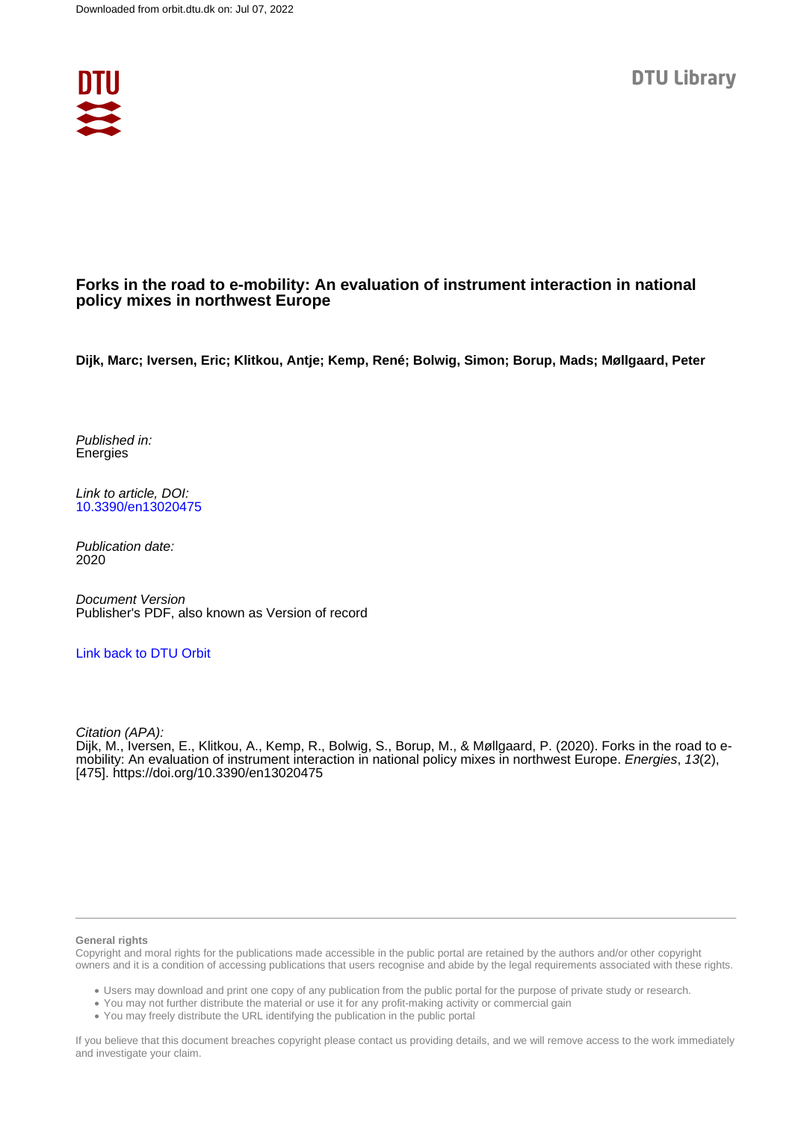

# **Forks in the road to e-mobility: An evaluation of instrument interaction in national policy mixes in northwest Europe**

**Dijk, Marc; Iversen, Eric; Klitkou, Antje; Kemp, René; Bolwig, Simon; Borup, Mads; Møllgaard, Peter**

Published in: Energies

Link to article, DOI: [10.3390/en13020475](https://doi.org/10.3390/en13020475)

Publication date: 2020

Document Version Publisher's PDF, also known as Version of record

## [Link back to DTU Orbit](https://orbit.dtu.dk/en/publications/cb6af5b3-9b06-4b50-9d61-30641fcc1e9a)

Citation (APA): Dijk, M., Iversen, E., Klitkou, A., Kemp, R., Bolwig, S., Borup, M., & Møllgaard, P. (2020). Forks in the road to emobility: An evaluation of instrument interaction in national policy mixes in northwest Europe. Energies, 13(2), [475]. <https://doi.org/10.3390/en13020475>

#### **General rights**

Copyright and moral rights for the publications made accessible in the public portal are retained by the authors and/or other copyright owners and it is a condition of accessing publications that users recognise and abide by the legal requirements associated with these rights.

Users may download and print one copy of any publication from the public portal for the purpose of private study or research.

- You may not further distribute the material or use it for any profit-making activity or commercial gain
- You may freely distribute the URL identifying the publication in the public portal

If you believe that this document breaches copyright please contact us providing details, and we will remove access to the work immediately and investigate your claim.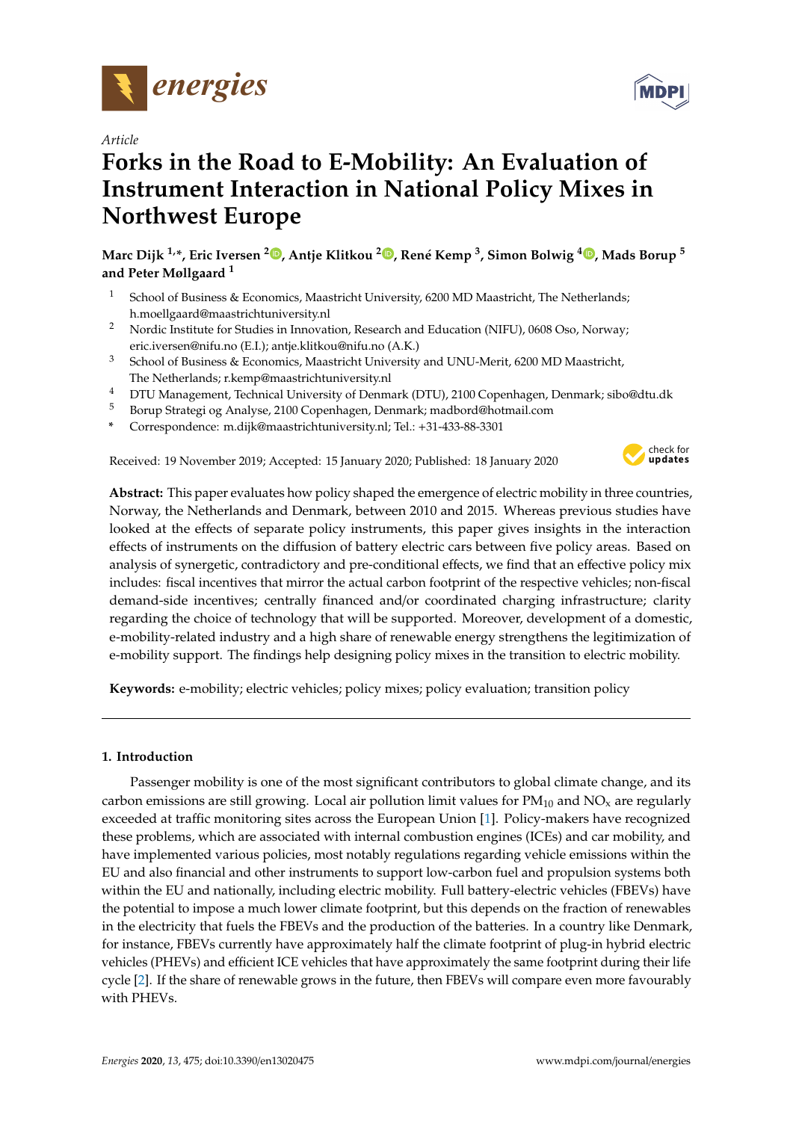

*Article*

# **Forks in the Road to E-Mobility: An Evaluation of Instrument Interaction in National Policy Mixes in Northwest Europe**

**Marc Dijk 1,\*, Eric Iversen <sup>2</sup> [,](https://orcid.org/0000-0001-8143-5118) Antje Klitkou <sup>2</sup> [,](https://orcid.org/0000-0002-3593-8272) René Kemp <sup>3</sup> , Simon Bolwig <sup>4</sup> [,](https://orcid.org/0000-0003-1537-7938) Mads Borup <sup>5</sup> and Peter Møllgaard <sup>1</sup>**

- <sup>1</sup> School of Business & Economics, Maastricht University, 6200 MD Maastricht, The Netherlands; h.moellgaard@maastrichtuniversity.nl
- <sup>2</sup> Nordic Institute for Studies in Innovation, Research and Education (NIFU), 0608 Oso, Norway; eric.iversen@nifu.no (E.I.); antje.klitkou@nifu.no (A.K.)
- <sup>3</sup> School of Business & Economics, Maastricht University and UNU-Merit, 6200 MD Maastricht, The Netherlands; r.kemp@maastrichtuniversity.nl
- <sup>4</sup> DTU Management, Technical University of Denmark (DTU), 2100 Copenhagen, Denmark; sibo@dtu.dk
- <sup>5</sup> Borup Strategi og Analyse, 2100 Copenhagen, Denmark; madbord@hotmail.com
- **\*** Correspondence: m.dijk@maastrichtuniversity.nl; Tel.: +31-433-88-3301

Received: 19 November 2019; Accepted: 15 January 2020; Published: 18 January 2020



**Abstract:** This paper evaluates how policy shaped the emergence of electric mobility in three countries, Norway, the Netherlands and Denmark, between 2010 and 2015. Whereas previous studies have looked at the effects of separate policy instruments, this paper gives insights in the interaction effects of instruments on the diffusion of battery electric cars between five policy areas. Based on analysis of synergetic, contradictory and pre-conditional effects, we find that an effective policy mix includes: fiscal incentives that mirror the actual carbon footprint of the respective vehicles; non-fiscal demand-side incentives; centrally financed and/or coordinated charging infrastructure; clarity regarding the choice of technology that will be supported. Moreover, development of a domestic, e-mobility-related industry and a high share of renewable energy strengthens the legitimization of e-mobility support. The findings help designing policy mixes in the transition to electric mobility.

**Keywords:** e-mobility; electric vehicles; policy mixes; policy evaluation; transition policy

## **1. Introduction**

Passenger mobility is one of the most significant contributors to global climate change, and its carbon emissions are still growing. Local air pollution limit values for  $PM_{10}$  and  $NO<sub>x</sub>$  are regularly exceeded at traffic monitoring sites across the European Union [\[1\]](#page-17-0). Policy-makers have recognized these problems, which are associated with internal combustion engines (ICEs) and car mobility, and have implemented various policies, most notably regulations regarding vehicle emissions within the EU and also financial and other instruments to support low-carbon fuel and propulsion systems both within the EU and nationally, including electric mobility. Full battery-electric vehicles (FBEVs) have the potential to impose a much lower climate footprint, but this depends on the fraction of renewables in the electricity that fuels the FBEVs and the production of the batteries. In a country like Denmark, for instance, FBEVs currently have approximately half the climate footprint of plug-in hybrid electric vehicles (PHEVs) and efficient ICE vehicles that have approximately the same footprint during their life cycle [\[2\]](#page-17-1). If the share of renewable grows in the future, then FBEVs will compare even more favourably with PHEVs.

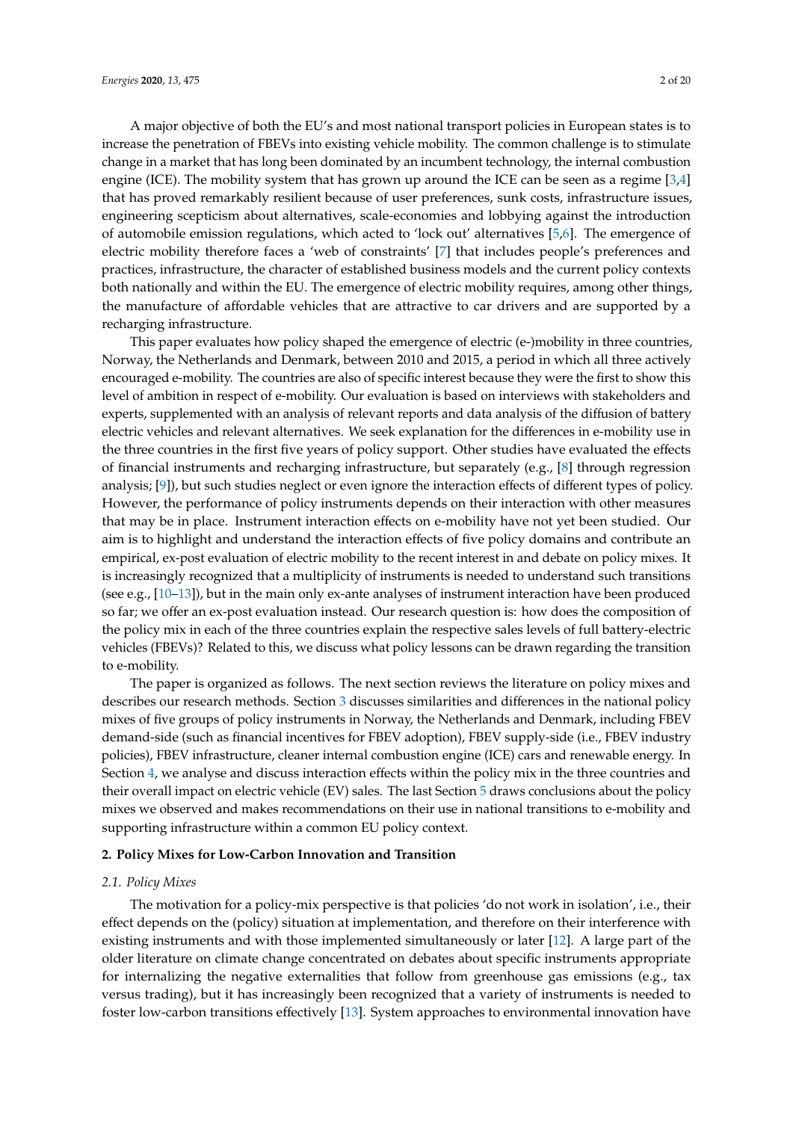A major objective of both the EU's and most national transport policies in European states is to increase the penetration of FBEVs into existing vehicle mobility. The common challenge is to stimulate change in a market that has long been dominated by an incumbent technology, the internal combustion engine (ICE). The mobility system that has grown up around the ICE can be seen as a regime [\[3](#page-17-2)[,4\]](#page-17-3) that has proved remarkably resilient because of user preferences, sunk costs, infrastructure issues, engineering scepticism about alternatives, scale-economies and lobbying against the introduction of automobile emission regulations, which acted to 'lock out' alternatives [\[5,](#page-18-0)[6\]](#page-18-1). The emergence of electric mobility therefore faces a 'web of constraints' [\[7\]](#page-18-2) that includes people's preferences and practices, infrastructure, the character of established business models and the current policy contexts both nationally and within the EU. The emergence of electric mobility requires, among other things, the manufacture of affordable vehicles that are attractive to car drivers and are supported by a recharging infrastructure.

This paper evaluates how policy shaped the emergence of electric (e-)mobility in three countries, Norway, the Netherlands and Denmark, between 2010 and 2015, a period in which all three actively encouraged e-mobility. The countries are also of specific interest because they were the first to show this level of ambition in respect of e-mobility. Our evaluation is based on interviews with stakeholders and experts, supplemented with an analysis of relevant reports and data analysis of the diffusion of battery electric vehicles and relevant alternatives. We seek explanation for the differences in e-mobility use in the three countries in the first five years of policy support. Other studies have evaluated the effects of financial instruments and recharging infrastructure, but separately (e.g., [\[8\]](#page-18-3) through regression analysis; [\[9\]](#page-18-4)), but such studies neglect or even ignore the interaction effects of different types of policy. However, the performance of policy instruments depends on their interaction with other measures that may be in place. Instrument interaction effects on e-mobility have not yet been studied. Our aim is to highlight and understand the interaction effects of five policy domains and contribute an empirical, ex-post evaluation of electric mobility to the recent interest in and debate on policy mixes. It is increasingly recognized that a multiplicity of instruments is needed to understand such transitions (see e.g., [\[10–](#page-18-5)[13\]](#page-18-6)), but in the main only ex-ante analyses of instrument interaction have been produced so far; we offer an ex-post evaluation instead. Our research question is: how does the composition of the policy mix in each of the three countries explain the respective sales levels of full battery-electric vehicles (FBEVs)? Related to this, we discuss what policy lessons can be drawn regarding the transition to e-mobility.

The paper is organized as follows. The next section reviews the literature on policy mixes and describes our research methods. Section [3](#page-5-0) discusses similarities and differences in the national policy mixes of five groups of policy instruments in Norway, the Netherlands and Denmark, including FBEV demand-side (such as financial incentives for FBEV adoption), FBEV supply-side (i.e., FBEV industry policies), FBEV infrastructure, cleaner internal combustion engine (ICE) cars and renewable energy. In Section [4,](#page-12-0) we analyse and discuss interaction effects within the policy mix in the three countries and their overall impact on electric vehicle (EV) sales. The last Section [5](#page-16-0) draws conclusions about the policy mixes we observed and makes recommendations on their use in national transitions to e-mobility and supporting infrastructure within a common EU policy context.

#### **2. Policy Mixes for Low-Carbon Innovation and Transition**

#### *2.1. Policy Mixes*

The motivation for a policy-mix perspective is that policies 'do not work in isolation', i.e., their effect depends on the (policy) situation at implementation, and therefore on their interference with existing instruments and with those implemented simultaneously or later [\[12\]](#page-18-7). A large part of the older literature on climate change concentrated on debates about specific instruments appropriate for internalizing the negative externalities that follow from greenhouse gas emissions (e.g., tax versus trading), but it has increasingly been recognized that a variety of instruments is needed to foster low-carbon transitions effectively [\[13\]](#page-18-6). System approaches to environmental innovation have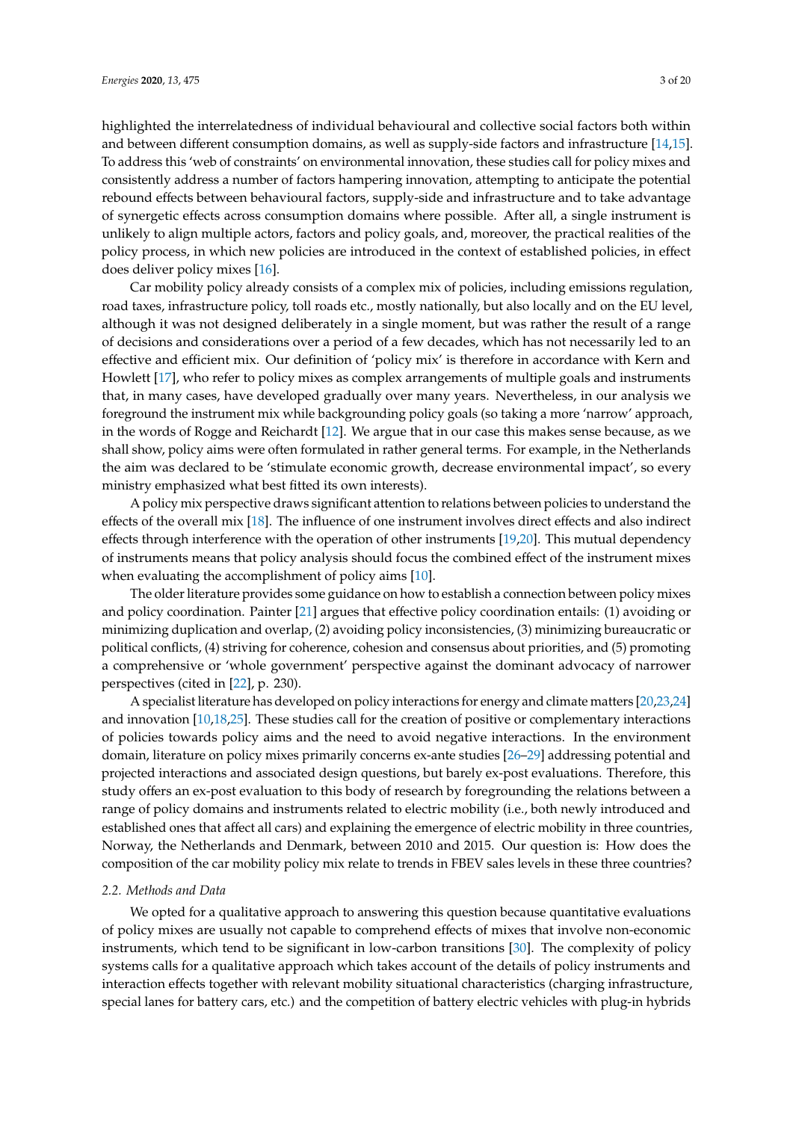highlighted the interrelatedness of individual behavioural and collective social factors both within and between different consumption domains, as well as supply-side factors and infrastructure [\[14](#page-18-8)[,15\]](#page-18-9). To address this 'web of constraints' on environmental innovation, these studies call for policy mixes and consistently address a number of factors hampering innovation, attempting to anticipate the potential rebound effects between behavioural factors, supply-side and infrastructure and to take advantage

of synergetic effects across consumption domains where possible. After all, a single instrument is unlikely to align multiple actors, factors and policy goals, and, moreover, the practical realities of the policy process, in which new policies are introduced in the context of established policies, in effect does deliver policy mixes [\[16\]](#page-18-10).

Car mobility policy already consists of a complex mix of policies, including emissions regulation, road taxes, infrastructure policy, toll roads etc., mostly nationally, but also locally and on the EU level, although it was not designed deliberately in a single moment, but was rather the result of a range of decisions and considerations over a period of a few decades, which has not necessarily led to an effective and efficient mix. Our definition of 'policy mix' is therefore in accordance with Kern and Howlett [\[17\]](#page-18-11), who refer to policy mixes as complex arrangements of multiple goals and instruments that, in many cases, have developed gradually over many years. Nevertheless, in our analysis we foreground the instrument mix while backgrounding policy goals (so taking a more 'narrow' approach, in the words of Rogge and Reichardt [\[12\]](#page-18-7). We argue that in our case this makes sense because, as we shall show, policy aims were often formulated in rather general terms. For example, in the Netherlands the aim was declared to be 'stimulate economic growth, decrease environmental impact', so every ministry emphasized what best fitted its own interests).

A policy mix perspective draws significant attention to relations between policies to understand the effects of the overall mix [\[18\]](#page-18-12). The influence of one instrument involves direct effects and also indirect effects through interference with the operation of other instruments [\[19](#page-18-13)[,20\]](#page-18-14). This mutual dependency of instruments means that policy analysis should focus the combined effect of the instrument mixes when evaluating the accomplishment of policy aims [\[10\]](#page-18-5).

The older literature provides some guidance on how to establish a connection between policy mixes and policy coordination. Painter [\[21\]](#page-18-15) argues that effective policy coordination entails: (1) avoiding or minimizing duplication and overlap, (2) avoiding policy inconsistencies, (3) minimizing bureaucratic or political conflicts, (4) striving for coherence, cohesion and consensus about priorities, and (5) promoting a comprehensive or 'whole government' perspective against the dominant advocacy of narrower perspectives (cited in [\[22\]](#page-18-16), p. 230).

A specialist literature has developed on policy interactions for energy and climate matters [\[20,](#page-18-14)[23,](#page-18-17)[24\]](#page-18-18) and innovation [\[10,](#page-18-5)[18,](#page-18-12)[25\]](#page-18-19). These studies call for the creation of positive or complementary interactions of policies towards policy aims and the need to avoid negative interactions. In the environment domain, literature on policy mixes primarily concerns ex-ante studies [\[26–](#page-18-20)[29\]](#page-18-21) addressing potential and projected interactions and associated design questions, but barely ex-post evaluations. Therefore, this study offers an ex-post evaluation to this body of research by foregrounding the relations between a range of policy domains and instruments related to electric mobility (i.e., both newly introduced and established ones that affect all cars) and explaining the emergence of electric mobility in three countries, Norway, the Netherlands and Denmark, between 2010 and 2015. Our question is: How does the composition of the car mobility policy mix relate to trends in FBEV sales levels in these three countries?

## *2.2. Methods and Data*

We opted for a qualitative approach to answering this question because quantitative evaluations of policy mixes are usually not capable to comprehend effects of mixes that involve non-economic instruments, which tend to be significant in low-carbon transitions [\[30\]](#page-18-22). The complexity of policy systems calls for a qualitative approach which takes account of the details of policy instruments and interaction effects together with relevant mobility situational characteristics (charging infrastructure, special lanes for battery cars, etc.) and the competition of battery electric vehicles with plug-in hybrids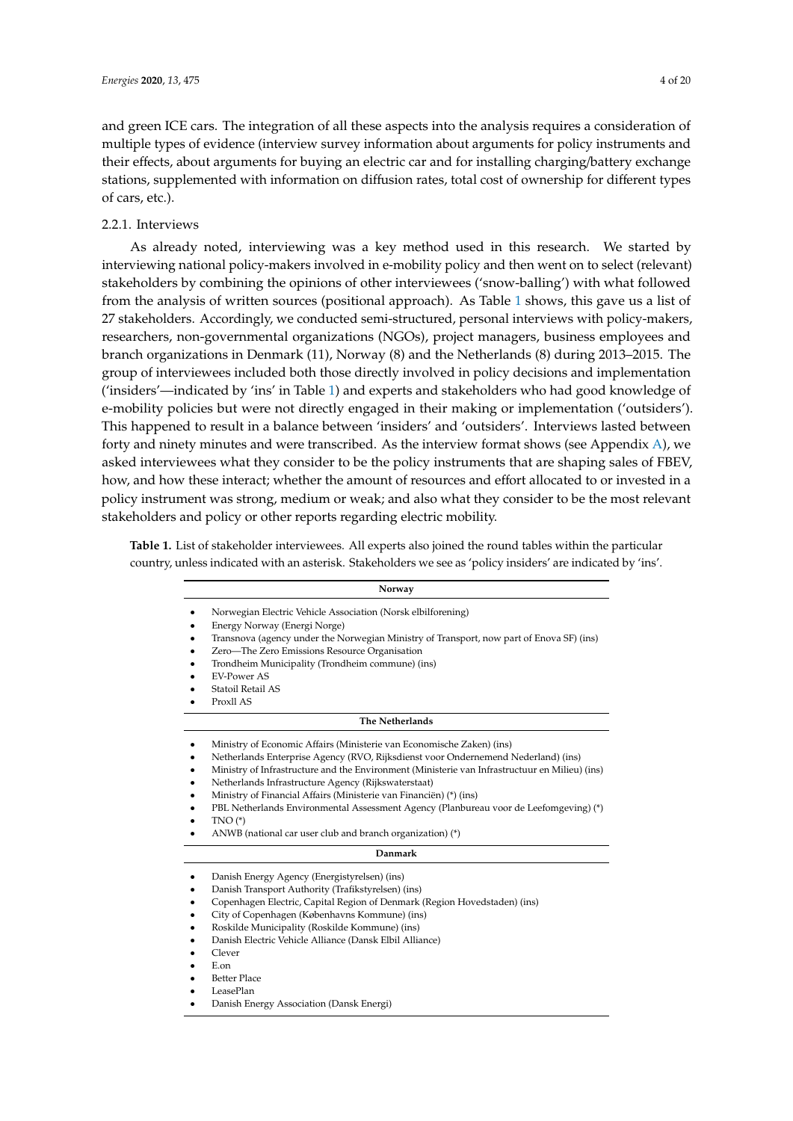and green ICE cars. The integration of all these aspects into the analysis requires a consideration of multiple types of evidence (interview survey information about arguments for policy instruments and their effects, about arguments for buying an electric car and for installing charging/battery exchange stations, supplemented with information on diffusion rates, total cost of ownership for different types of cars, etc.).

## 2.2.1. Interviews

As already noted, interviewing was a key method used in this research. We started by interviewing national policy-makers involved in e-mobility policy and then went on to select (relevant) stakeholders by combining the opinions of other interviewees ('snow-balling') with what followed from the analysis of written sources (positional approach). As Table [1](#page-4-0) shows, this gave us a list of 27 stakeholders. Accordingly, we conducted semi-structured, personal interviews with policy-makers, researchers, non-governmental organizations (NGOs), project managers, business employees and branch organizations in Denmark (11), Norway (8) and the Netherlands (8) during 2013–2015. The group of interviewees included both those directly involved in policy decisions and implementation ('insiders'—indicated by 'ins' in Table [1\)](#page-4-0) and experts and stakeholders who had good knowledge of e-mobility policies but were not directly engaged in their making or implementation ('outsiders'). This happened to result in a balance between 'insiders' and 'outsiders'. Interviews lasted between forty and ninety minutes and were transcribed. As the interview format shows (see Appendix [A\)](#page-17-4), we asked interviewees what they consider to be the policy instruments that are shaping sales of FBEV, how, and how these interact; whether the amount of resources and effort allocated to or invested in a policy instrument was strong, medium or weak; and also what they consider to be the most relevant stakeholders and policy or other reports regarding electric mobility.

<span id="page-4-0"></span>**Table 1.** List of stakeholder interviewees. All experts also joined the round tables within the particular country, unless indicated with an asterisk. Stakeholders we see as 'policy insiders' are indicated by 'ins'.

| Norway                                                                                                                                                                                                                                                                                                                                                                                                                                                                                                                                                    |
|-----------------------------------------------------------------------------------------------------------------------------------------------------------------------------------------------------------------------------------------------------------------------------------------------------------------------------------------------------------------------------------------------------------------------------------------------------------------------------------------------------------------------------------------------------------|
| Norwegian Electric Vehicle Association (Norsk elbilforening)<br>Energy Norway (Energi Norge)<br>Transnova (agency under the Norwegian Ministry of Transport, now part of Enova SF) (ins)                                                                                                                                                                                                                                                                                                                                                                  |
| Zero-The Zero Emissions Resource Organisation<br>Trondheim Municipality (Trondheim commune) (ins)<br><b>EV-Power AS</b>                                                                                                                                                                                                                                                                                                                                                                                                                                   |
| Statoil Retail AS<br>Proxll AS                                                                                                                                                                                                                                                                                                                                                                                                                                                                                                                            |
| The Netherlands                                                                                                                                                                                                                                                                                                                                                                                                                                                                                                                                           |
| Ministry of Economic Affairs (Ministerie van Economische Zaken) (ins)<br>Netherlands Enterprise Agency (RVO, Rijksdienst voor Ondernemend Nederland) (ins)<br>Ministry of Infrastructure and the Environment (Ministerie van Infrastructuur en Milieu) (ins)<br>Netherlands Infrastructure Agency (Rijkswaterstaat)<br>Ministry of Financial Affairs (Ministerie van Financiën) (*) (ins)<br>PBL Netherlands Environmental Assessment Agency (Planbureau voor de Leefomgeving) (*)<br>$TNO*$<br>ANWB (national car user club and branch organization) (*) |
| Danmark                                                                                                                                                                                                                                                                                                                                                                                                                                                                                                                                                   |
| Danish Energy Agency (Energistyrelsen) (ins)<br>Danish Transport Authority (Trafikstyrelsen) (ins)<br>Copenhagen Electric, Capital Region of Denmark (Region Hovedstaden) (ins)<br>City of Copenhagen (Københavns Kommune) (ins)<br>Roskilde Municipality (Roskilde Kommune) (ins)<br>Danish Electric Vehicle Alliance (Dansk Elbil Alliance)<br>Clever                                                                                                                                                                                                   |
|                                                                                                                                                                                                                                                                                                                                                                                                                                                                                                                                                           |

- E.on
- **Better Place**
- LeasePlan
- Danish Energy Association (Dansk Energi)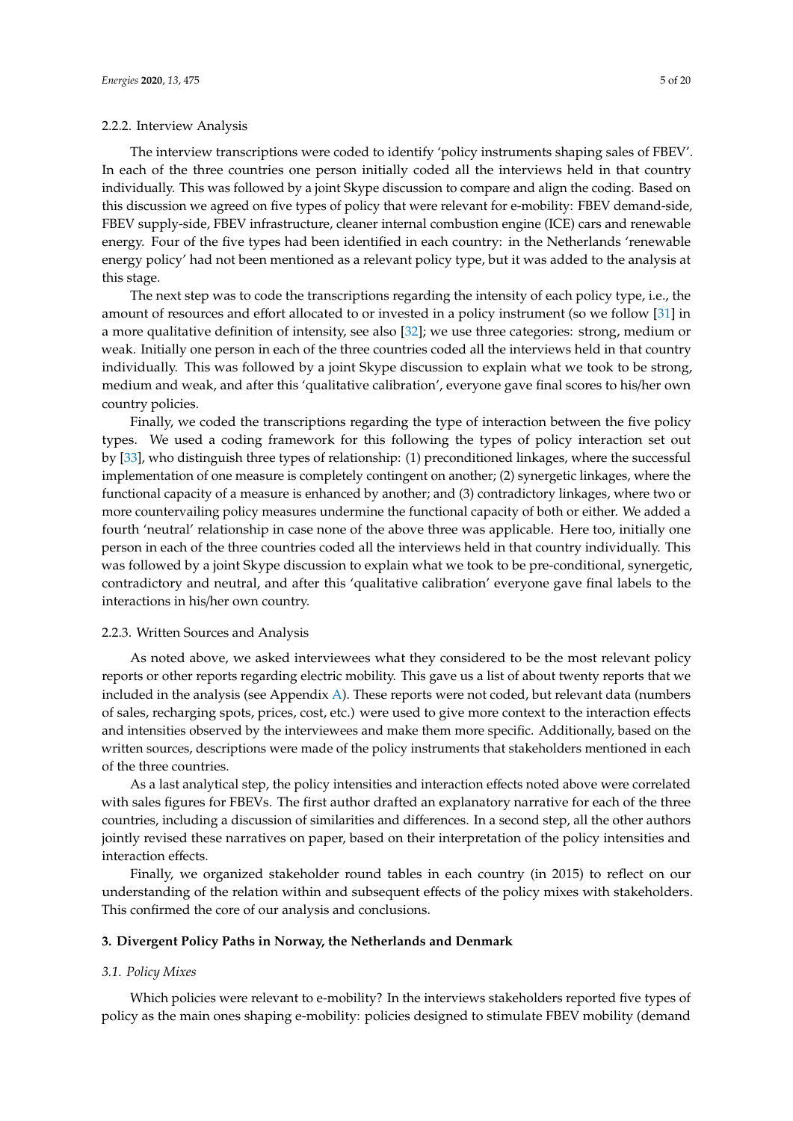#### 2.2.2. Interview Analysis

The interview transcriptions were coded to identify 'policy instruments shaping sales of FBEV'. In each of the three countries one person initially coded all the interviews held in that country individually. This was followed by a joint Skype discussion to compare and align the coding. Based on this discussion we agreed on five types of policy that were relevant for e-mobility: FBEV demand-side, FBEV supply-side, FBEV infrastructure, cleaner internal combustion engine (ICE) cars and renewable energy. Four of the five types had been identified in each country: in the Netherlands 'renewable energy policy' had not been mentioned as a relevant policy type, but it was added to the analysis at this stage.

The next step was to code the transcriptions regarding the intensity of each policy type, i.e., the amount of resources and effort allocated to or invested in a policy instrument (so we follow [\[31\]](#page-18-23) in a more qualitative definition of intensity, see also [\[32\]](#page-19-0); we use three categories: strong, medium or weak. Initially one person in each of the three countries coded all the interviews held in that country individually. This was followed by a joint Skype discussion to explain what we took to be strong, medium and weak, and after this 'qualitative calibration', everyone gave final scores to his/her own country policies.

Finally, we coded the transcriptions regarding the type of interaction between the five policy types. We used a coding framework for this following the types of policy interaction set out by [\[33\]](#page-19-1), who distinguish three types of relationship: (1) preconditioned linkages, where the successful implementation of one measure is completely contingent on another; (2) synergetic linkages, where the functional capacity of a measure is enhanced by another; and (3) contradictory linkages, where two or more countervailing policy measures undermine the functional capacity of both or either. We added a fourth 'neutral' relationship in case none of the above three was applicable. Here too, initially one person in each of the three countries coded all the interviews held in that country individually. This was followed by a joint Skype discussion to explain what we took to be pre-conditional, synergetic, contradictory and neutral, and after this 'qualitative calibration' everyone gave final labels to the interactions in his/her own country.

#### 2.2.3. Written Sources and Analysis

As noted above, we asked interviewees what they considered to be the most relevant policy reports or other reports regarding electric mobility. This gave us a list of about twenty reports that we included in the analysis (see Appendix [A\)](#page-17-4). These reports were not coded, but relevant data (numbers of sales, recharging spots, prices, cost, etc.) were used to give more context to the interaction effects and intensities observed by the interviewees and make them more specific. Additionally, based on the written sources, descriptions were made of the policy instruments that stakeholders mentioned in each of the three countries.

As a last analytical step, the policy intensities and interaction effects noted above were correlated with sales figures for FBEVs. The first author drafted an explanatory narrative for each of the three countries, including a discussion of similarities and differences. In a second step, all the other authors jointly revised these narratives on paper, based on their interpretation of the policy intensities and interaction effects.

Finally, we organized stakeholder round tables in each country (in 2015) to reflect on our understanding of the relation within and subsequent effects of the policy mixes with stakeholders. This confirmed the core of our analysis and conclusions.

#### <span id="page-5-0"></span>**3. Divergent Policy Paths in Norway, the Netherlands and Denmark**

#### *3.1. Policy Mixes*

Which policies were relevant to e-mobility? In the interviews stakeholders reported five types of policy as the main ones shaping e-mobility: policies designed to stimulate FBEV mobility (demand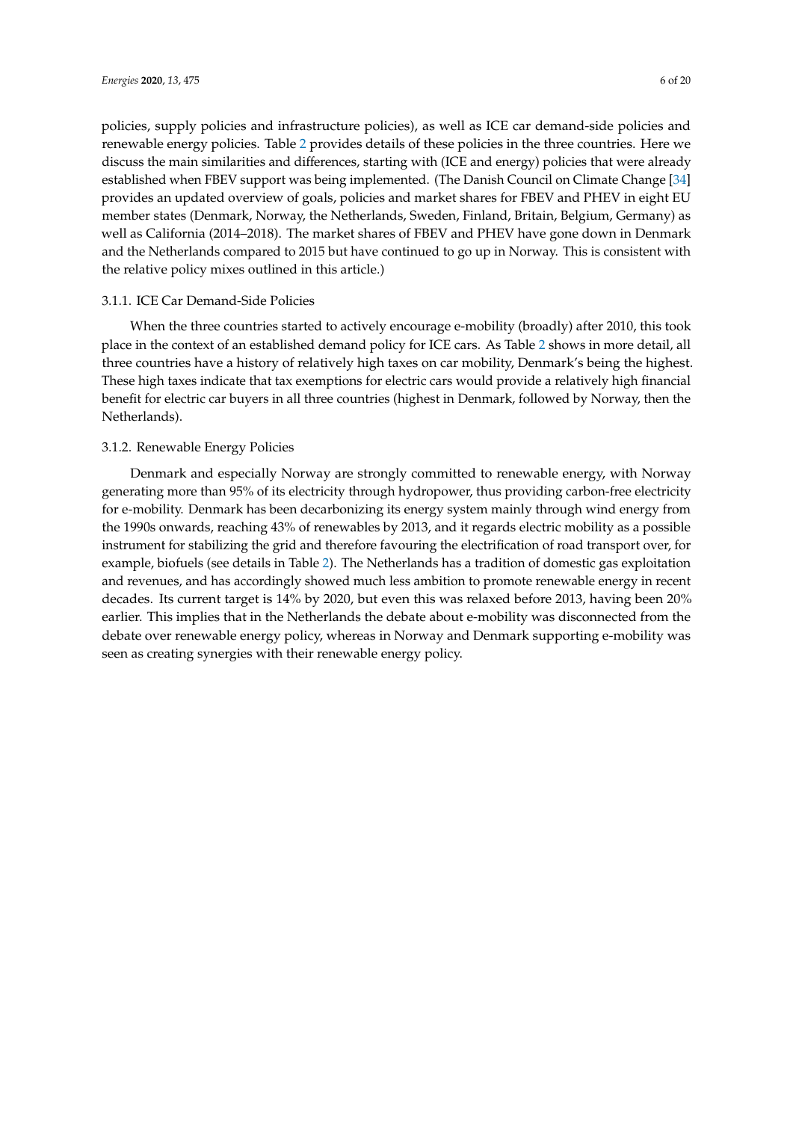policies, supply policies and infrastructure policies), as well as ICE car demand-side policies and renewable energy policies. Table [2](#page-7-0) provides details of these policies in the three countries. Here we discuss the main similarities and differences, starting with (ICE and energy) policies that were already established when FBEV support was being implemented. (The Danish Council on Climate Change [\[34\]](#page-19-2) provides an updated overview of goals, policies and market shares for FBEV and PHEV in eight EU member states (Denmark, Norway, the Netherlands, Sweden, Finland, Britain, Belgium, Germany) as well as California (2014–2018). The market shares of FBEV and PHEV have gone down in Denmark and the Netherlands compared to 2015 but have continued to go up in Norway. This is consistent with the relative policy mixes outlined in this article.)

#### 3.1.1. ICE Car Demand-Side Policies

When the three countries started to actively encourage e-mobility (broadly) after 2010, this took place in the context of an established demand policy for ICE cars. As Table [2](#page-7-0) shows in more detail, all three countries have a history of relatively high taxes on car mobility, Denmark's being the highest. These high taxes indicate that tax exemptions for electric cars would provide a relatively high financial benefit for electric car buyers in all three countries (highest in Denmark, followed by Norway, then the Netherlands).

### 3.1.2. Renewable Energy Policies

Denmark and especially Norway are strongly committed to renewable energy, with Norway generating more than 95% of its electricity through hydropower, thus providing carbon-free electricity for e-mobility. Denmark has been decarbonizing its energy system mainly through wind energy from the 1990s onwards, reaching 43% of renewables by 2013, and it regards electric mobility as a possible instrument for stabilizing the grid and therefore favouring the electrification of road transport over, for example, biofuels (see details in Table [2\)](#page-7-0). The Netherlands has a tradition of domestic gas exploitation and revenues, and has accordingly showed much less ambition to promote renewable energy in recent decades. Its current target is 14% by 2020, but even this was relaxed before 2013, having been 20% earlier. This implies that in the Netherlands the debate about e-mobility was disconnected from the debate over renewable energy policy, whereas in Norway and Denmark supporting e-mobility was seen as creating synergies with their renewable energy policy.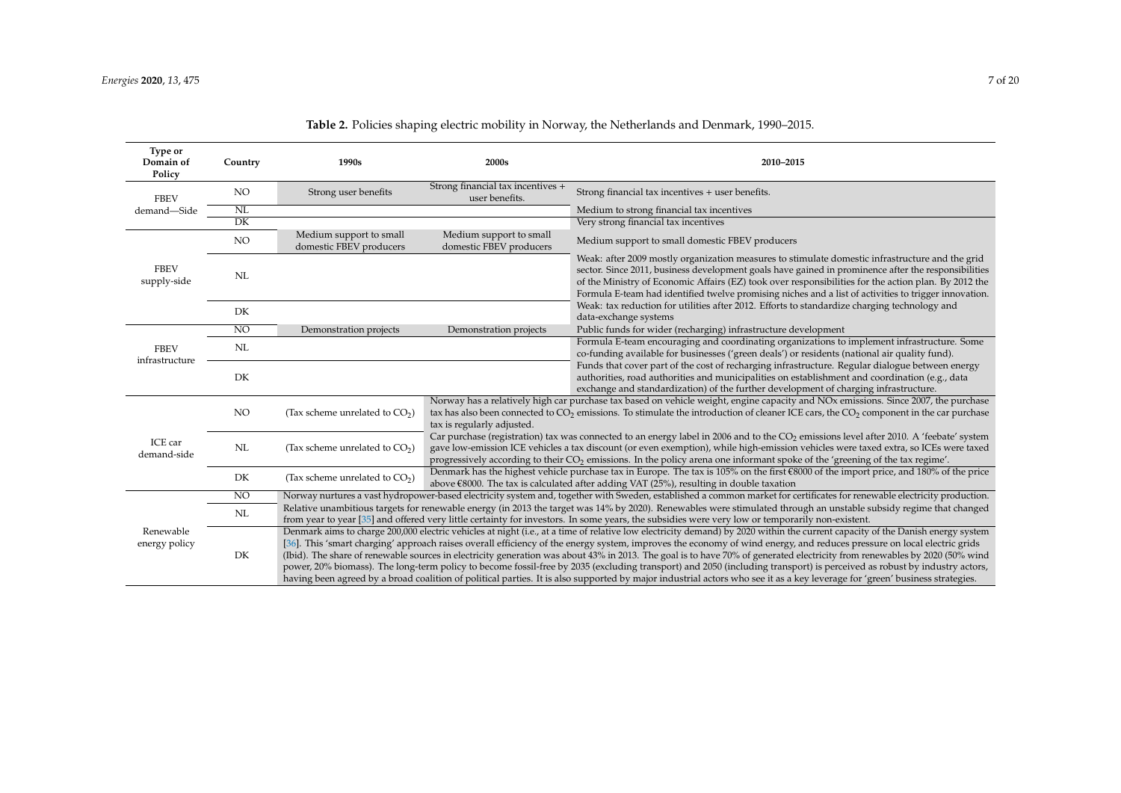<span id="page-7-0"></span>

| Type or<br>Domain of<br>Policy | Country             | 1990s                                                                                                                                                                                                                                                                                                                                                                                                                                                                                                                                                                                                                                                                                                                                                                                                                                                                                                                                                                                                                                               | 2000s                                               | 2010-2015                                                                                                                                                                                                                                                                                                                                                                                                                              |
|--------------------------------|---------------------|-----------------------------------------------------------------------------------------------------------------------------------------------------------------------------------------------------------------------------------------------------------------------------------------------------------------------------------------------------------------------------------------------------------------------------------------------------------------------------------------------------------------------------------------------------------------------------------------------------------------------------------------------------------------------------------------------------------------------------------------------------------------------------------------------------------------------------------------------------------------------------------------------------------------------------------------------------------------------------------------------------------------------------------------------------|-----------------------------------------------------|----------------------------------------------------------------------------------------------------------------------------------------------------------------------------------------------------------------------------------------------------------------------------------------------------------------------------------------------------------------------------------------------------------------------------------------|
| <b>FBEV</b>                    | NO.                 | Strong user benefits                                                                                                                                                                                                                                                                                                                                                                                                                                                                                                                                                                                                                                                                                                                                                                                                                                                                                                                                                                                                                                | Strong financial tax incentives +<br>user benefits. | Strong financial tax incentives + user benefits.                                                                                                                                                                                                                                                                                                                                                                                       |
| demand-Side                    | NL                  |                                                                                                                                                                                                                                                                                                                                                                                                                                                                                                                                                                                                                                                                                                                                                                                                                                                                                                                                                                                                                                                     |                                                     | Medium to strong financial tax incentives                                                                                                                                                                                                                                                                                                                                                                                              |
|                                | $\overline{\rm DK}$ |                                                                                                                                                                                                                                                                                                                                                                                                                                                                                                                                                                                                                                                                                                                                                                                                                                                                                                                                                                                                                                                     |                                                     | Very strong financial tax incentives                                                                                                                                                                                                                                                                                                                                                                                                   |
| <b>FBEV</b><br>supply-side     | NO.                 | Medium support to small<br>domestic FBEV producers                                                                                                                                                                                                                                                                                                                                                                                                                                                                                                                                                                                                                                                                                                                                                                                                                                                                                                                                                                                                  | Medium support to small<br>domestic FBEV producers  | Medium support to small domestic FBEV producers                                                                                                                                                                                                                                                                                                                                                                                        |
|                                | NL                  |                                                                                                                                                                                                                                                                                                                                                                                                                                                                                                                                                                                                                                                                                                                                                                                                                                                                                                                                                                                                                                                     |                                                     | Weak: after 2009 mostly organization measures to stimulate domestic infrastructure and the grid<br>sector. Since 2011, business development goals have gained in prominence after the responsibilities<br>of the Ministry of Economic Affairs (EZ) took over responsibilities for the action plan. By 2012 the<br>Formula E-team had identified twelve promising niches and a list of activities to trigger innovation.                |
|                                | DK                  |                                                                                                                                                                                                                                                                                                                                                                                                                                                                                                                                                                                                                                                                                                                                                                                                                                                                                                                                                                                                                                                     |                                                     | Weak: tax reduction for utilities after 2012. Efforts to standardize charging technology and<br>data-exchange systems                                                                                                                                                                                                                                                                                                                  |
| <b>FBEV</b><br>infrastructure  | <b>NO</b>           | Demonstration projects                                                                                                                                                                                                                                                                                                                                                                                                                                                                                                                                                                                                                                                                                                                                                                                                                                                                                                                                                                                                                              | Demonstration projects                              | Public funds for wider (recharging) infrastructure development                                                                                                                                                                                                                                                                                                                                                                         |
|                                | NL                  |                                                                                                                                                                                                                                                                                                                                                                                                                                                                                                                                                                                                                                                                                                                                                                                                                                                                                                                                                                                                                                                     |                                                     | Formula E-team encouraging and coordinating organizations to implement infrastructure. Some<br>co-funding available for businesses ('green deals') or residents (national air quality fund).                                                                                                                                                                                                                                           |
|                                | DK                  |                                                                                                                                                                                                                                                                                                                                                                                                                                                                                                                                                                                                                                                                                                                                                                                                                                                                                                                                                                                                                                                     |                                                     | Funds that cover part of the cost of recharging infrastructure. Regular dialogue between energy<br>authorities, road authorities and municipalities on establishment and coordination (e.g., data<br>exchange and standardization) of the further development of charging infrastructure.                                                                                                                                              |
|                                | NO.                 | (Tax scheme unrelated to $CO2$ )                                                                                                                                                                                                                                                                                                                                                                                                                                                                                                                                                                                                                                                                                                                                                                                                                                                                                                                                                                                                                    | tax is regularly adjusted.                          | Norway has a relatively high car purchase tax based on vehicle weight, engine capacity and NOx emissions. Since 2007, the purchase<br>tax has also been connected to $CO2$ emissions. To stimulate the introduction of cleaner ICE cars, the $CO2$ component in the car purchase                                                                                                                                                       |
| ICE car<br>demand-side         | NL                  | (Tax scheme unrelated to $CO2$ )                                                                                                                                                                                                                                                                                                                                                                                                                                                                                                                                                                                                                                                                                                                                                                                                                                                                                                                                                                                                                    |                                                     | Car purchase (registration) tax was connected to an energy label in 2006 and to the CO <sub>2</sub> emissions level after 2010. A 'feebate' system<br>gave low-emission ICE vehicles a tax discount (or even exemption), while high-emission vehicles were taxed extra, so ICEs were taxed<br>progressively according to their CO <sub>2</sub> emissions. In the policy arena one informant spoke of the 'greening of the tax regime'. |
|                                | DK                  | (Tax scheme unrelated to $CO2$ )                                                                                                                                                                                                                                                                                                                                                                                                                                                                                                                                                                                                                                                                                                                                                                                                                                                                                                                                                                                                                    |                                                     | Denmark has the highest vehicle purchase tax in Europe. The tax is 105% on the first €8000 of the import price, and 180% of the price<br>above $\epsilon$ 8000. The tax is calculated after adding VAT (25%), resulting in double taxation                                                                                                                                                                                             |
|                                | NO <sub>1</sub>     |                                                                                                                                                                                                                                                                                                                                                                                                                                                                                                                                                                                                                                                                                                                                                                                                                                                                                                                                                                                                                                                     |                                                     | Norway nurtures a vast hydropower-based electricity system and, together with Sweden, established a common market for certificates for renewable electricity production.                                                                                                                                                                                                                                                               |
| Renewable<br>energy policy     | NL                  |                                                                                                                                                                                                                                                                                                                                                                                                                                                                                                                                                                                                                                                                                                                                                                                                                                                                                                                                                                                                                                                     |                                                     | Relative unambitious targets for renewable energy (in 2013 the target was 14% by 2020). Renewables were stimulated through an unstable subsidy regime that changed                                                                                                                                                                                                                                                                     |
|                                | DK                  | from year to year [35] and offered very little certainty for investors. In some years, the subsidies were very low or temporarily non-existent.<br>Denmark aims to charge 200,000 electric vehicles at night (i.e., at a time of relative low electricity demand) by 2020 within the current capacity of the Danish energy system<br>[36]. This 'smart charging' approach raises overall efficiency of the energy system, improves the economy of wind energy, and reduces pressure on local electric grids<br>(Ibid). The share of renewable sources in electricity generation was about 43% in 2013. The goal is to have 70% of generated electricity from renewables by 2020 (50% wind<br>power, 20% biomass). The long-term policy to become fossil-free by 2035 (excluding transport) and 2050 (including transport) is perceived as robust by industry actors,<br>having been agreed by a broad coalition of political parties. It is also supported by major industrial actors who see it as a key leverage for 'green' business strategies. |                                                     |                                                                                                                                                                                                                                                                                                                                                                                                                                        |

## **Table 2.** Policies shaping electric mobility in Norway, the Netherlands and Denmark, 1990–2015.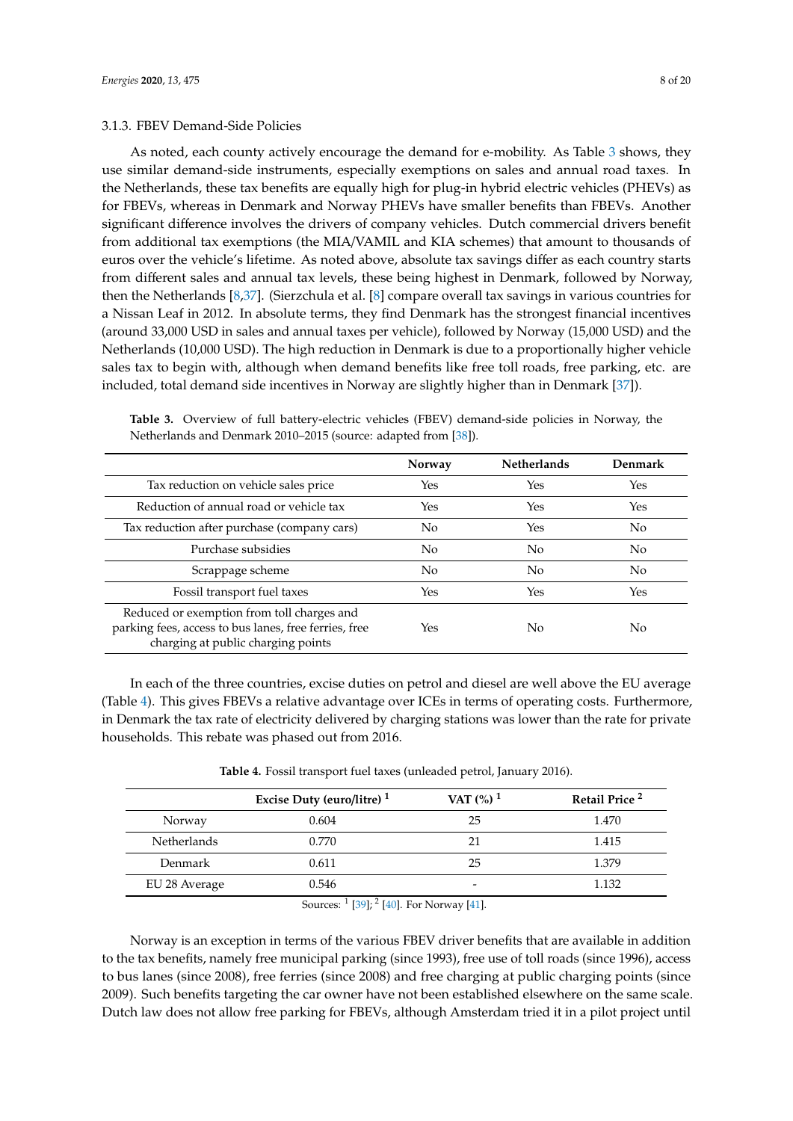3.1.3. FBEV Demand-Side Policies

As noted, each county actively encourage the demand for e-mobility. As Table [3](#page-8-0) shows, they use similar demand-side instruments, especially exemptions on sales and annual road taxes. In the Netherlands, these tax benefits are equally high for plug-in hybrid electric vehicles (PHEVs) as for FBEVs, whereas in Denmark and Norway PHEVs have smaller benefits than FBEVs. Another significant difference involves the drivers of company vehicles. Dutch commercial drivers benefit from additional tax exemptions (the MIA/VAMIL and KIA schemes) that amount to thousands of euros over the vehicle's lifetime. As noted above, absolute tax savings differ as each country starts from different sales and annual tax levels, these being highest in Denmark, followed by Norway, then the Netherlands [\[8](#page-18-3)[,37\]](#page-19-5). (Sierzchula et al. [\[8\]](#page-18-3) compare overall tax savings in various countries for a Nissan Leaf in 2012. In absolute terms, they find Denmark has the strongest financial incentives (around 33,000 USD in sales and annual taxes per vehicle), followed by Norway (15,000 USD) and the Netherlands (10,000 USD). The high reduction in Denmark is due to a proportionally higher vehicle sales tax to begin with, although when demand benefits like free toll roads, free parking, etc. are

|                                                                                                                                           | Norway         | <b>Netherlands</b> | <b>Denmark</b> |
|-------------------------------------------------------------------------------------------------------------------------------------------|----------------|--------------------|----------------|
| Tax reduction on vehicle sales price                                                                                                      | Yes            | Yes                | Yes            |
| Reduction of annual road or vehicle tax                                                                                                   | Yes            | Yes                | Yes            |
| Tax reduction after purchase (company cars)                                                                                               | No.            | Yes                | N <sub>o</sub> |
| Purchase subsidies                                                                                                                        | N <sub>o</sub> | N <sub>o</sub>     | N <sub>o</sub> |
| Scrappage scheme                                                                                                                          | N <sub>o</sub> | $\overline{N}_{0}$ | N <sub>o</sub> |
| Fossil transport fuel taxes                                                                                                               | Yes            | Yes                | Yes            |
| Reduced or exemption from toll charges and<br>parking fees, access to bus lanes, free ferries, free<br>charging at public charging points | Yes            | No                 | No             |

**Table 3.** Overview of full battery-electric vehicles (FBEV) demand-side policies in Norway, the Netherlands and Denmark 2010–2015 (source: adapted from [\[38\]](#page-19-6)).

<span id="page-8-0"></span>included, total demand side incentives in Norway are slightly higher than in Denmark [\[37\]](#page-19-5)).

In each of the three countries, excise duties on petrol and diesel are well above the EU average (Table [4\)](#page-8-1). This gives FBEVs a relative advantage over ICEs in terms of operating costs. Furthermore, in Denmark the tax rate of electricity delivered by charging stations was lower than the rate for private households. This rebate was phased out from 2016.

<span id="page-8-1"></span>

|                    | Excise Duty (euro/litre) $1$ | VAT $(\%)$ <sup>1</sup> | Retail Price <sup>2</sup> |
|--------------------|------------------------------|-------------------------|---------------------------|
| Norway             | 0.604                        | 25                      | 1.470                     |
| <b>Netherlands</b> | 0.770                        | 21                      | 1.415                     |
| Denmark            | 0.611                        | 25                      | 1.379                     |
| EU 28 Average      | 0.546                        | -                       | 1.132                     |
|                    | $\sim$ $\sim$ $\sim$         |                         |                           |

**Table 4.** Fossil transport fuel taxes (unleaded petrol, January 2016).

Sources: <sup>1</sup> [\[39\]](#page-19-7); <sup>2</sup> [\[40\]](#page-19-8). For Norway [\[41\]](#page-19-9).

Norway is an exception in terms of the various FBEV driver benefits that are available in addition to the tax benefits, namely free municipal parking (since 1993), free use of toll roads (since 1996), access to bus lanes (since 2008), free ferries (since 2008) and free charging at public charging points (since 2009). Such benefits targeting the car owner have not been established elsewhere on the same scale. Dutch law does not allow free parking for FBEVs, although Amsterdam tried it in a pilot project until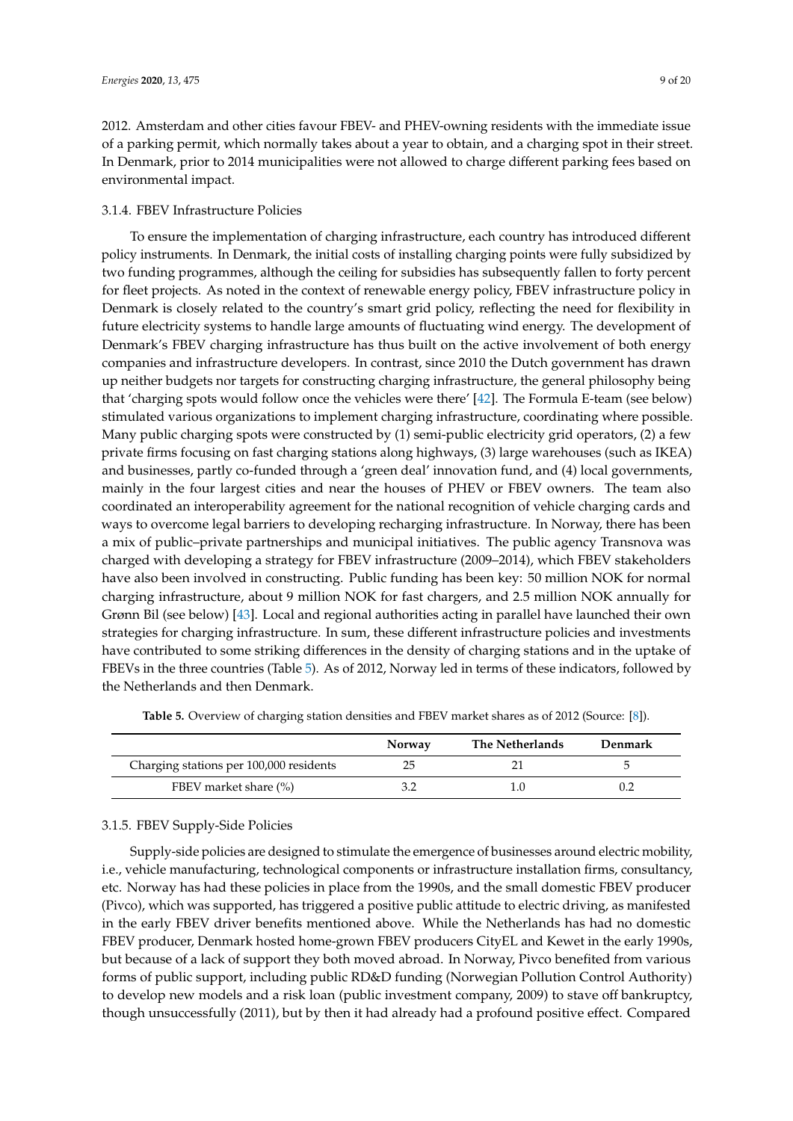2012. Amsterdam and other cities favour FBEV- and PHEV-owning residents with the immediate issue of a parking permit, which normally takes about a year to obtain, and a charging spot in their street. In Denmark, prior to 2014 municipalities were not allowed to charge different parking fees based on environmental impact.

#### 3.1.4. FBEV Infrastructure Policies

To ensure the implementation of charging infrastructure, each country has introduced different policy instruments. In Denmark, the initial costs of installing charging points were fully subsidized by two funding programmes, although the ceiling for subsidies has subsequently fallen to forty percent for fleet projects. As noted in the context of renewable energy policy, FBEV infrastructure policy in Denmark is closely related to the country's smart grid policy, reflecting the need for flexibility in future electricity systems to handle large amounts of fluctuating wind energy. The development of Denmark's FBEV charging infrastructure has thus built on the active involvement of both energy companies and infrastructure developers. In contrast, since 2010 the Dutch government has drawn up neither budgets nor targets for constructing charging infrastructure, the general philosophy being that 'charging spots would follow once the vehicles were there' [\[42\]](#page-19-10). The Formula E-team (see below) stimulated various organizations to implement charging infrastructure, coordinating where possible. Many public charging spots were constructed by (1) semi-public electricity grid operators, (2) a few private firms focusing on fast charging stations along highways, (3) large warehouses (such as IKEA) and businesses, partly co-funded through a 'green deal' innovation fund, and (4) local governments, mainly in the four largest cities and near the houses of PHEV or FBEV owners. The team also coordinated an interoperability agreement for the national recognition of vehicle charging cards and ways to overcome legal barriers to developing recharging infrastructure. In Norway, there has been a mix of public–private partnerships and municipal initiatives. The public agency Transnova was charged with developing a strategy for FBEV infrastructure (2009–2014), which FBEV stakeholders have also been involved in constructing. Public funding has been key: 50 million NOK for normal charging infrastructure, about 9 million NOK for fast chargers, and 2.5 million NOK annually for Grønn Bil (see below) [\[43\]](#page-19-11). Local and regional authorities acting in parallel have launched their own strategies for charging infrastructure. In sum, these different infrastructure policies and investments have contributed to some striking differences in the density of charging stations and in the uptake of FBEVs in the three countries (Table [5\)](#page-9-0). As of 2012, Norway led in terms of these indicators, followed by the Netherlands and then Denmark.

<span id="page-9-0"></span>

|                                         | <b>Norway</b> | The Netherlands | Denmark |
|-----------------------------------------|---------------|-----------------|---------|
| Charging stations per 100,000 residents |               |                 |         |
| FBEV market share (%)                   |               |                 |         |

**Table 5.** Overview of charging station densities and FBEV market shares as of 2012 (Source: [\[8\]](#page-18-3)).

#### 3.1.5. FBEV Supply-Side Policies

Supply-side policies are designed to stimulate the emergence of businesses around electric mobility, i.e., vehicle manufacturing, technological components or infrastructure installation firms, consultancy, etc. Norway has had these policies in place from the 1990s, and the small domestic FBEV producer (Pivco), which was supported, has triggered a positive public attitude to electric driving, as manifested in the early FBEV driver benefits mentioned above. While the Netherlands has had no domestic FBEV producer, Denmark hosted home-grown FBEV producers CityEL and Kewet in the early 1990s, but because of a lack of support they both moved abroad. In Norway, Pivco benefited from various forms of public support, including public RD&D funding (Norwegian Pollution Control Authority) to develop new models and a risk loan (public investment company, 2009) to stave off bankruptcy, though unsuccessfully (2011), but by then it had already had a profound positive effect. Compared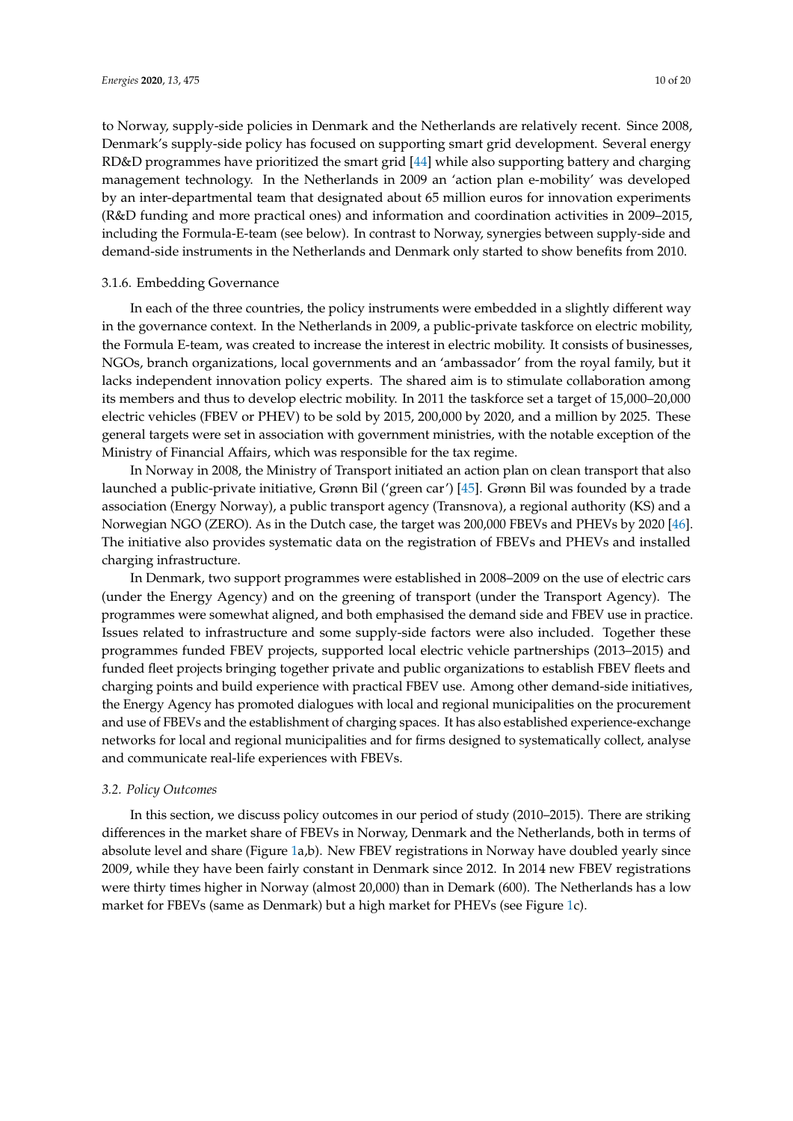to Norway, supply-side policies in Denmark and the Netherlands are relatively recent. Since 2008, Denmark's supply-side policy has focused on supporting smart grid development. Several energy RD&D programmes have prioritized the smart grid [\[44\]](#page-19-12) while also supporting battery and charging management technology. In the Netherlands in 2009 an 'action plan e-mobility' was developed by an inter-departmental team that designated about 65 million euros for innovation experiments (R&D funding and more practical ones) and information and coordination activities in 2009–2015, including the Formula-E-team (see below). In contrast to Norway, synergies between supply-side and demand-side instruments in the Netherlands and Denmark only started to show benefits from 2010.

### 3.1.6. Embedding Governance

In each of the three countries, the policy instruments were embedded in a slightly different way in the governance context. In the Netherlands in 2009, a public-private taskforce on electric mobility, the Formula E-team, was created to increase the interest in electric mobility. It consists of businesses, NGOs, branch organizations, local governments and an 'ambassador' from the royal family, but it lacks independent innovation policy experts. The shared aim is to stimulate collaboration among its members and thus to develop electric mobility. In 2011 the taskforce set a target of 15,000–20,000 electric vehicles (FBEV or PHEV) to be sold by 2015, 200,000 by 2020, and a million by 2025. These general targets were set in association with government ministries, with the notable exception of the Ministry of Financial Affairs, which was responsible for the tax regime.

In Norway in 2008, the Ministry of Transport initiated an action plan on clean transport that also launched a public-private initiative, Grønn Bil ('green car') [\[45\]](#page-19-13). Grønn Bil was founded by a trade association (Energy Norway), a public transport agency (Transnova), a regional authority (KS) and a Norwegian NGO (ZERO). As in the Dutch case, the target was 200,000 FBEVs and PHEVs by 2020 [\[46\]](#page-19-14). The initiative also provides systematic data on the registration of FBEVs and PHEVs and installed charging infrastructure.

In Denmark, two support programmes were established in 2008–2009 on the use of electric cars (under the Energy Agency) and on the greening of transport (under the Transport Agency). The programmes were somewhat aligned, and both emphasised the demand side and FBEV use in practice. Issues related to infrastructure and some supply-side factors were also included. Together these programmes funded FBEV projects, supported local electric vehicle partnerships (2013–2015) and funded fleet projects bringing together private and public organizations to establish FBEV fleets and charging points and build experience with practical FBEV use. Among other demand-side initiatives, the Energy Agency has promoted dialogues with local and regional municipalities on the procurement and use of FBEVs and the establishment of charging spaces. It has also established experience-exchange networks for local and regional municipalities and for firms designed to systematically collect, analyse and communicate real-life experiences with FBEVs.

#### *3.2. Policy Outcomes*

In this section, we discuss policy outcomes in our period of study (2010–2015). There are striking differences in the market share of FBEVs in Norway, Denmark and the Netherlands, both in terms of absolute level and share (Figure [1a](#page-11-0),b). New FBEV registrations in Norway have doubled yearly since 2009, while they have been fairly constant in Denmark since 2012. In 2014 new FBEV registrations were thirty times higher in Norway (almost 20,000) than in Demark (600). The Netherlands has a low market for FBEVs (same as Denmark) but a high market for PHEVs (see Figure [1c](#page-11-0)).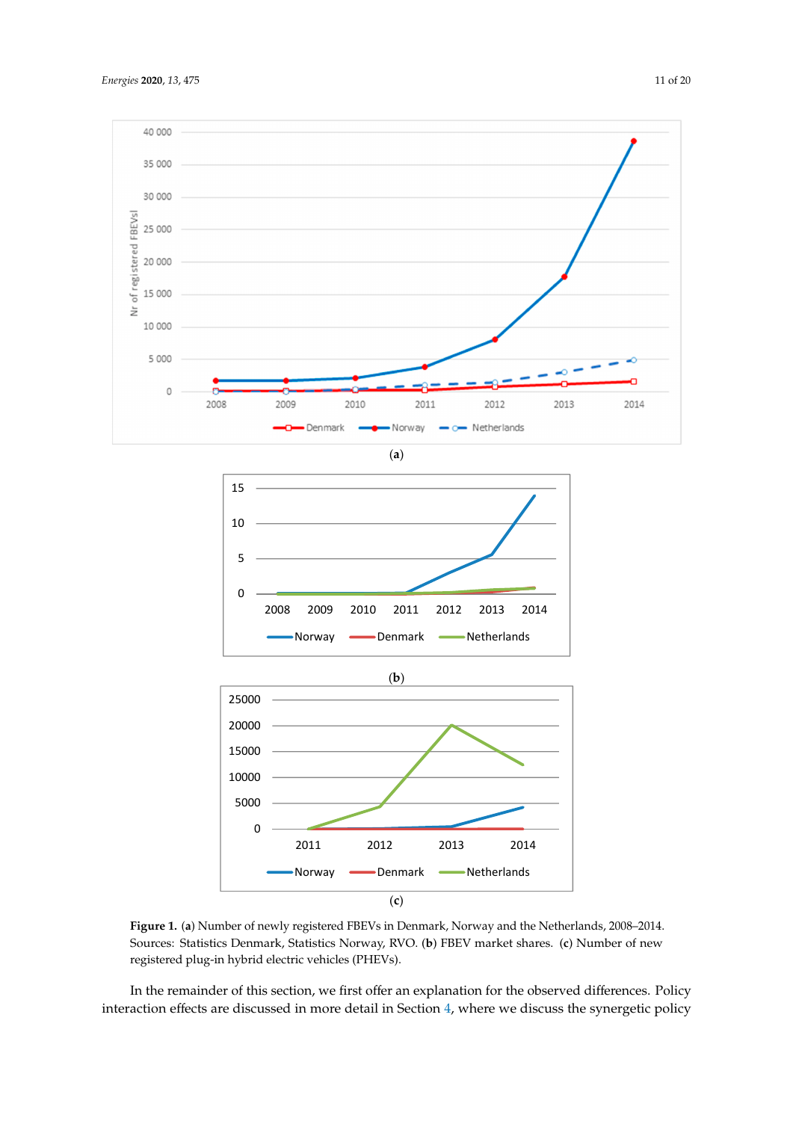<span id="page-11-0"></span>







**Figure 1.** (**a**) Number of newly registered FBEVs in Denmark, Norway and the Netherlands, 2008– **Figure 1.** (**a**) Number of newly registered FBEVs in Denmark, Norway and the Netherlands, 2008–2014. 2014. Sources: Statistics Denmark, Statistics Norway, RVO. (**b**) FBEV market shares. (**c**) Number of Sources: Statistics Denmark, Statistics Norway, RVO. (**b**) FBEV market shares. (**c**) Number of new registered plug-in hybrid electric vehicles (PHEVs).

In the remainder of this section, we first offer an explanation for the observed differences. Policy In the remainder of this section, we first offer an explanation for the observed differences. Policy interaction effects are discussed in more detail in Section 4, where we discuss the synergetic policy interaction effects are discussed in more detail in Section [4,](#page-12-0) where we discuss the synergetic policy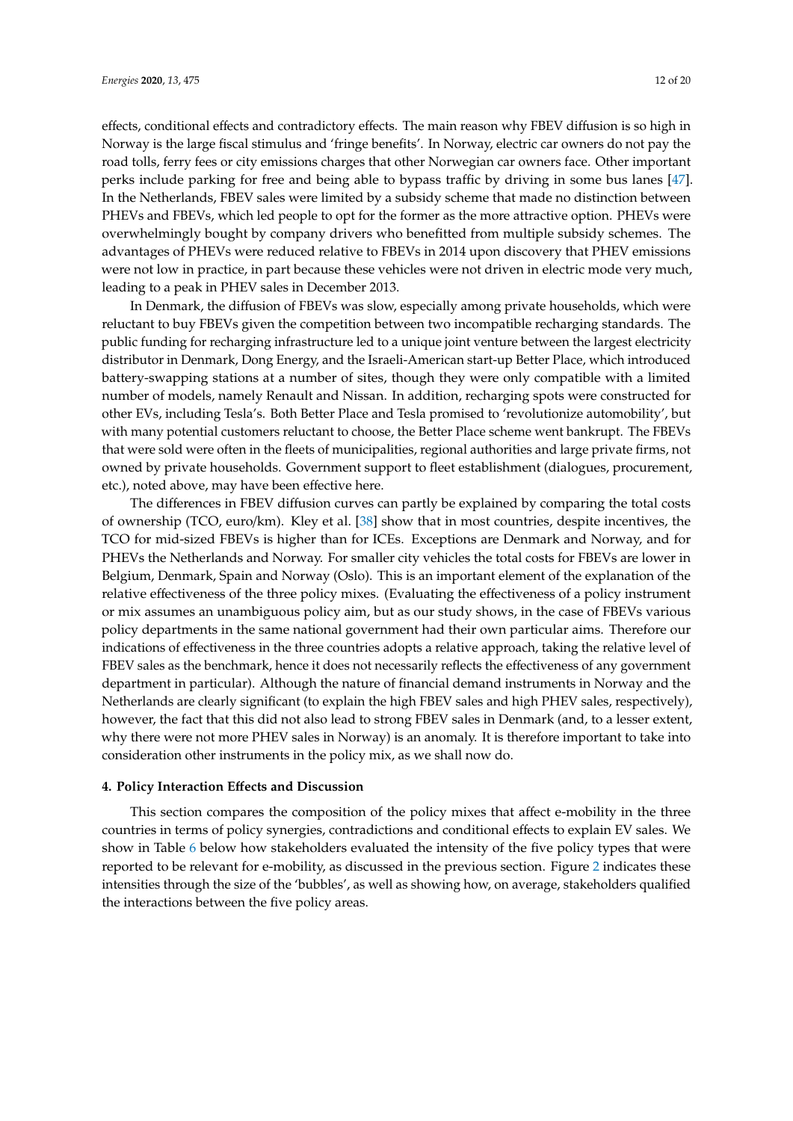effects, conditional effects and contradictory effects. The main reason why FBEV diffusion is so high in Norway is the large fiscal stimulus and 'fringe benefits'. In Norway, electric car owners do not pay the road tolls, ferry fees or city emissions charges that other Norwegian car owners face. Other important perks include parking for free and being able to bypass traffic by driving in some bus lanes [\[47\]](#page-19-15). In the Netherlands, FBEV sales were limited by a subsidy scheme that made no distinction between PHEVs and FBEVs, which led people to opt for the former as the more attractive option. PHEVs were overwhelmingly bought by company drivers who benefitted from multiple subsidy schemes. The advantages of PHEVs were reduced relative to FBEVs in 2014 upon discovery that PHEV emissions were not low in practice, in part because these vehicles were not driven in electric mode very much, leading to a peak in PHEV sales in December 2013.

In Denmark, the diffusion of FBEVs was slow, especially among private households, which were reluctant to buy FBEVs given the competition between two incompatible recharging standards. The public funding for recharging infrastructure led to a unique joint venture between the largest electricity distributor in Denmark, Dong Energy, and the Israeli-American start-up Better Place, which introduced battery-swapping stations at a number of sites, though they were only compatible with a limited number of models, namely Renault and Nissan. In addition, recharging spots were constructed for other EVs, including Tesla's. Both Better Place and Tesla promised to 'revolutionize automobility', but with many potential customers reluctant to choose, the Better Place scheme went bankrupt. The FBEVs that were sold were often in the fleets of municipalities, regional authorities and large private firms, not owned by private households. Government support to fleet establishment (dialogues, procurement, etc.), noted above, may have been effective here.

The differences in FBEV diffusion curves can partly be explained by comparing the total costs of ownership (TCO, euro/km). Kley et al. [\[38\]](#page-19-6) show that in most countries, despite incentives, the TCO for mid-sized FBEVs is higher than for ICEs. Exceptions are Denmark and Norway, and for PHEVs the Netherlands and Norway. For smaller city vehicles the total costs for FBEVs are lower in Belgium, Denmark, Spain and Norway (Oslo). This is an important element of the explanation of the relative effectiveness of the three policy mixes. (Evaluating the effectiveness of a policy instrument or mix assumes an unambiguous policy aim, but as our study shows, in the case of FBEVs various policy departments in the same national government had their own particular aims. Therefore our indications of effectiveness in the three countries adopts a relative approach, taking the relative level of FBEV sales as the benchmark, hence it does not necessarily reflects the effectiveness of any government department in particular). Although the nature of financial demand instruments in Norway and the Netherlands are clearly significant (to explain the high FBEV sales and high PHEV sales, respectively), however, the fact that this did not also lead to strong FBEV sales in Denmark (and, to a lesser extent, why there were not more PHEV sales in Norway) is an anomaly. It is therefore important to take into consideration other instruments in the policy mix, as we shall now do.

#### <span id="page-12-0"></span>**4. Policy Interaction E**ff**ects and Discussion**

This section compares the composition of the policy mixes that affect e-mobility in the three countries in terms of policy synergies, contradictions and conditional effects to explain EV sales. We show in Table [6](#page-13-0) below how stakeholders evaluated the intensity of the five policy types that were reported to be relevant for e-mobility, as discussed in the previous section. Figure [2](#page-13-1) indicates these intensities through the size of the 'bubbles', as well as showing how, on average, stakeholders qualified the interactions between the five policy areas.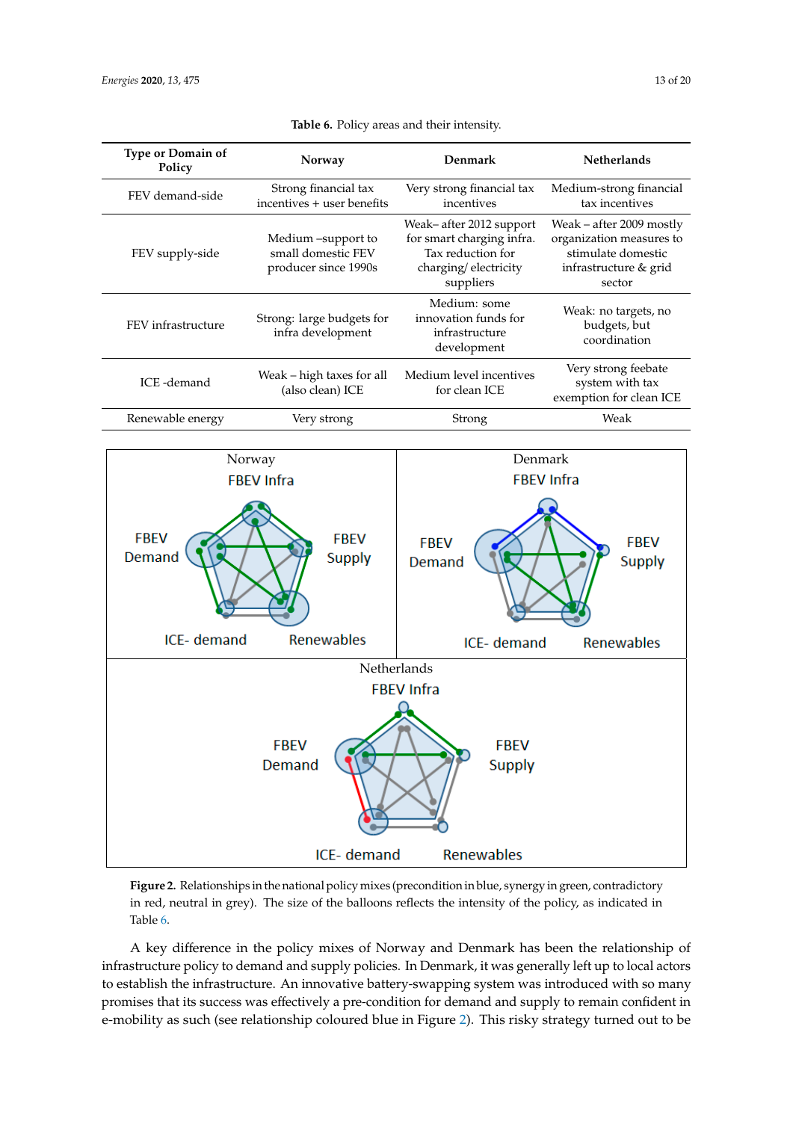<span id="page-13-0"></span>

| Type or Domain of<br>Policy | Norway                                                           | <b>Denmark</b>                                                                                                  | <b>Netherlands</b>                                                                                            |
|-----------------------------|------------------------------------------------------------------|-----------------------------------------------------------------------------------------------------------------|---------------------------------------------------------------------------------------------------------------|
| FEV demand-side             | Strong financial tax<br>incentives + user benefits               | Very strong financial tax<br>incentives                                                                         | Medium-strong financial<br>tax incentives                                                                     |
| FEV supply-side             | Medium –support to<br>small domestic FEV<br>producer since 1990s | Weak- after 2012 support<br>for smart charging infra.<br>Tax reduction for<br>charging/electricity<br>suppliers | Weak – after 2009 mostly<br>organization measures to<br>stimulate domestic<br>infrastructure & grid<br>sector |
| FEV infrastructure          | Strong: large budgets for<br>infra development                   | Medium: some<br>innovation funds for<br>infrastructure<br>development                                           | Weak: no targets, no<br>budgets, but<br>coordination                                                          |
| ICE-demand                  | Weak – high taxes for all<br>(also clean) ICE                    | Medium level incentives<br>for clean ICE                                                                        | Very strong feebate<br>system with tax<br>exemption for clean ICE                                             |
| Renewable energy            | Very strong                                                      | Strong                                                                                                          | Weak                                                                                                          |

<span id="page-13-1"></span>

**Figure 2.** Relationships in the national policy mixes (precondition in blue, synergy in green, **Figure 2.** Relationships in the national policy mixes (precondition in blue, synergy in green, contradictory in red, neutral in grey). The size of the balloons reflects the intensity of the policy, as indicated in Table 6.

A key difference in the policy mixes of Norway and Denmark has been the relationship of to establish the infrastructure. An innovative battery-swapping system was introduced with so many promises that its success was effectively a pre-condition for demand and supply to remain confident in e-mobility as such (see relationship coloured blue in Figure [2\)](#page-13-1). This risky strategy turned out to be infrastructure policy to demand and supply policies. In Denmark, it was generally left up to local actors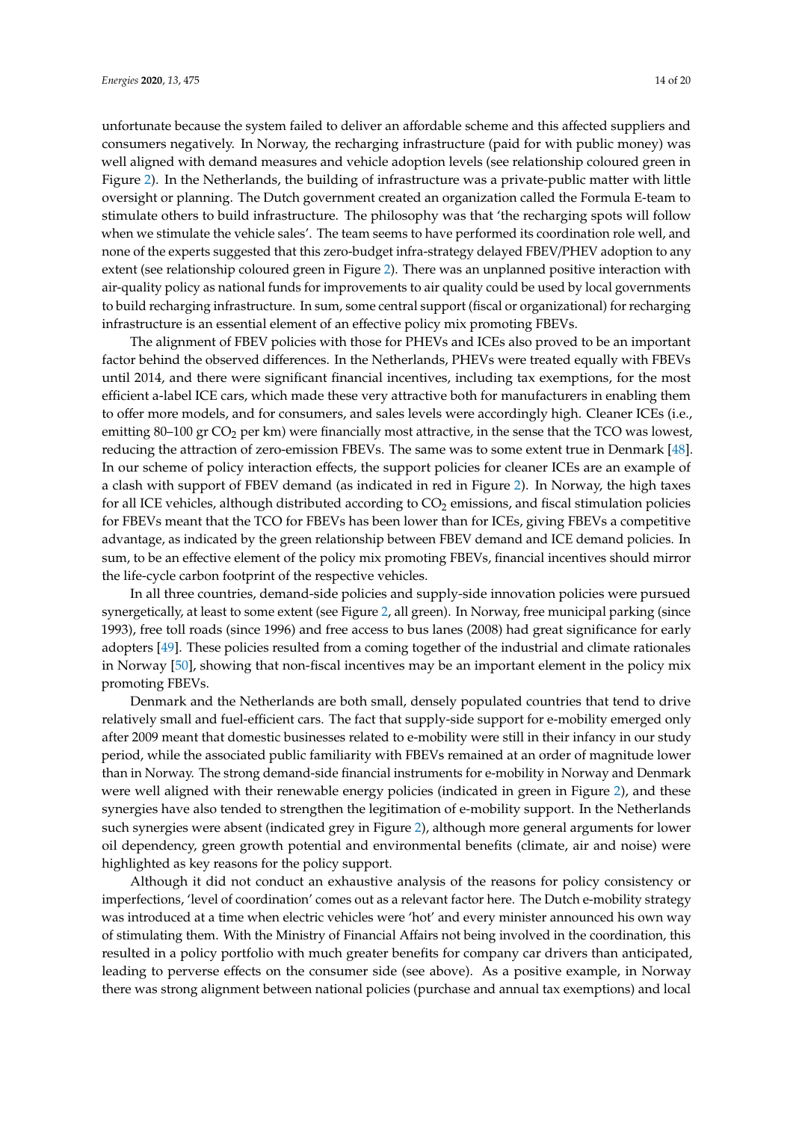unfortunate because the system failed to deliver an affordable scheme and this affected suppliers and consumers negatively. In Norway, the recharging infrastructure (paid for with public money) was well aligned with demand measures and vehicle adoption levels (see relationship coloured green in Figure [2\)](#page-13-1). In the Netherlands, the building of infrastructure was a private-public matter with little oversight or planning. The Dutch government created an organization called the Formula E-team to stimulate others to build infrastructure. The philosophy was that 'the recharging spots will follow when we stimulate the vehicle sales'. The team seems to have performed its coordination role well, and none of the experts suggested that this zero-budget infra-strategy delayed FBEV/PHEV adoption to any extent (see relationship coloured green in Figure [2\)](#page-13-1). There was an unplanned positive interaction with air-quality policy as national funds for improvements to air quality could be used by local governments to build recharging infrastructure. In sum, some central support (fiscal or organizational) for recharging infrastructure is an essential element of an effective policy mix promoting FBEVs.

The alignment of FBEV policies with those for PHEVs and ICEs also proved to be an important factor behind the observed differences. In the Netherlands, PHEVs were treated equally with FBEVs until 2014, and there were significant financial incentives, including tax exemptions, for the most efficient a-label ICE cars, which made these very attractive both for manufacturers in enabling them to offer more models, and for consumers, and sales levels were accordingly high. Cleaner ICEs (i.e., emitting 80–100 gr  $CO<sub>2</sub>$  per km) were financially most attractive, in the sense that the TCO was lowest, reducing the attraction of zero-emission FBEVs. The same was to some extent true in Denmark [\[48\]](#page-19-16). In our scheme of policy interaction effects, the support policies for cleaner ICEs are an example of a clash with support of FBEV demand (as indicated in red in Figure [2\)](#page-13-1). In Norway, the high taxes for all ICE vehicles, although distributed according to  $CO<sub>2</sub>$  emissions, and fiscal stimulation policies for FBEVs meant that the TCO for FBEVs has been lower than for ICEs, giving FBEVs a competitive advantage, as indicated by the green relationship between FBEV demand and ICE demand policies. In sum, to be an effective element of the policy mix promoting FBEVs, financial incentives should mirror the life-cycle carbon footprint of the respective vehicles.

In all three countries, demand-side policies and supply-side innovation policies were pursued synergetically, at least to some extent (see Figure [2,](#page-13-1) all green). In Norway, free municipal parking (since 1993), free toll roads (since 1996) and free access to bus lanes (2008) had great significance for early adopters [\[49\]](#page-19-17). These policies resulted from a coming together of the industrial and climate rationales in Norway [\[50\]](#page-19-18), showing that non-fiscal incentives may be an important element in the policy mix promoting FBEVs.

Denmark and the Netherlands are both small, densely populated countries that tend to drive relatively small and fuel-efficient cars. The fact that supply-side support for e-mobility emerged only after 2009 meant that domestic businesses related to e-mobility were still in their infancy in our study period, while the associated public familiarity with FBEVs remained at an order of magnitude lower than in Norway. The strong demand-side financial instruments for e-mobility in Norway and Denmark were well aligned with their renewable energy policies (indicated in green in Figure [2\)](#page-13-1), and these synergies have also tended to strengthen the legitimation of e-mobility support. In the Netherlands such synergies were absent (indicated grey in Figure [2\)](#page-13-1), although more general arguments for lower oil dependency, green growth potential and environmental benefits (climate, air and noise) were highlighted as key reasons for the policy support.

Although it did not conduct an exhaustive analysis of the reasons for policy consistency or imperfections, 'level of coordination' comes out as a relevant factor here. The Dutch e-mobility strategy was introduced at a time when electric vehicles were 'hot' and every minister announced his own way of stimulating them. With the Ministry of Financial Affairs not being involved in the coordination, this resulted in a policy portfolio with much greater benefits for company car drivers than anticipated, leading to perverse effects on the consumer side (see above). As a positive example, in Norway there was strong alignment between national policies (purchase and annual tax exemptions) and local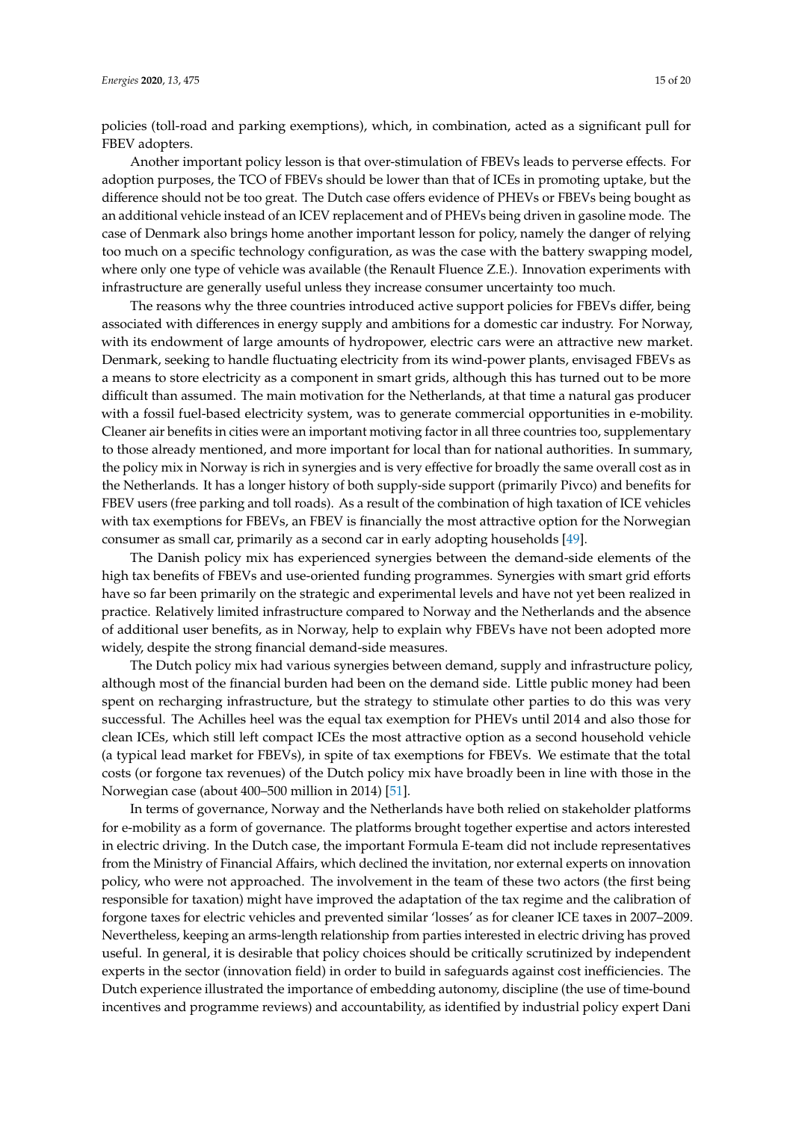policies (toll-road and parking exemptions), which, in combination, acted as a significant pull for FBEV adopters.

Another important policy lesson is that over-stimulation of FBEVs leads to perverse effects. For adoption purposes, the TCO of FBEVs should be lower than that of ICEs in promoting uptake, but the difference should not be too great. The Dutch case offers evidence of PHEVs or FBEVs being bought as an additional vehicle instead of an ICEV replacement and of PHEVs being driven in gasoline mode. The case of Denmark also brings home another important lesson for policy, namely the danger of relying too much on a specific technology configuration, as was the case with the battery swapping model, where only one type of vehicle was available (the Renault Fluence Z.E.). Innovation experiments with infrastructure are generally useful unless they increase consumer uncertainty too much.

The reasons why the three countries introduced active support policies for FBEVs differ, being associated with differences in energy supply and ambitions for a domestic car industry. For Norway, with its endowment of large amounts of hydropower, electric cars were an attractive new market. Denmark, seeking to handle fluctuating electricity from its wind-power plants, envisaged FBEVs as a means to store electricity as a component in smart grids, although this has turned out to be more difficult than assumed. The main motivation for the Netherlands, at that time a natural gas producer with a fossil fuel-based electricity system, was to generate commercial opportunities in e-mobility. Cleaner air benefits in cities were an important motiving factor in all three countries too, supplementary to those already mentioned, and more important for local than for national authorities. In summary, the policy mix in Norway is rich in synergies and is very effective for broadly the same overall cost as in the Netherlands. It has a longer history of both supply-side support (primarily Pivco) and benefits for FBEV users (free parking and toll roads). As a result of the combination of high taxation of ICE vehicles with tax exemptions for FBEVs, an FBEV is financially the most attractive option for the Norwegian consumer as small car, primarily as a second car in early adopting households [\[49\]](#page-19-17).

The Danish policy mix has experienced synergies between the demand-side elements of the high tax benefits of FBEVs and use-oriented funding programmes. Synergies with smart grid efforts have so far been primarily on the strategic and experimental levels and have not yet been realized in practice. Relatively limited infrastructure compared to Norway and the Netherlands and the absence of additional user benefits, as in Norway, help to explain why FBEVs have not been adopted more widely, despite the strong financial demand-side measures.

The Dutch policy mix had various synergies between demand, supply and infrastructure policy, although most of the financial burden had been on the demand side. Little public money had been spent on recharging infrastructure, but the strategy to stimulate other parties to do this was very successful. The Achilles heel was the equal tax exemption for PHEVs until 2014 and also those for clean ICEs, which still left compact ICEs the most attractive option as a second household vehicle (a typical lead market for FBEVs), in spite of tax exemptions for FBEVs. We estimate that the total costs (or forgone tax revenues) of the Dutch policy mix have broadly been in line with those in the Norwegian case (about 400–500 million in 2014) [\[51\]](#page-19-19).

In terms of governance, Norway and the Netherlands have both relied on stakeholder platforms for e-mobility as a form of governance. The platforms brought together expertise and actors interested in electric driving. In the Dutch case, the important Formula E-team did not include representatives from the Ministry of Financial Affairs, which declined the invitation, nor external experts on innovation policy, who were not approached. The involvement in the team of these two actors (the first being responsible for taxation) might have improved the adaptation of the tax regime and the calibration of forgone taxes for electric vehicles and prevented similar 'losses' as for cleaner ICE taxes in 2007–2009. Nevertheless, keeping an arms-length relationship from parties interested in electric driving has proved useful. In general, it is desirable that policy choices should be critically scrutinized by independent experts in the sector (innovation field) in order to build in safeguards against cost inefficiencies. The Dutch experience illustrated the importance of embedding autonomy, discipline (the use of time-bound incentives and programme reviews) and accountability, as identified by industrial policy expert Dani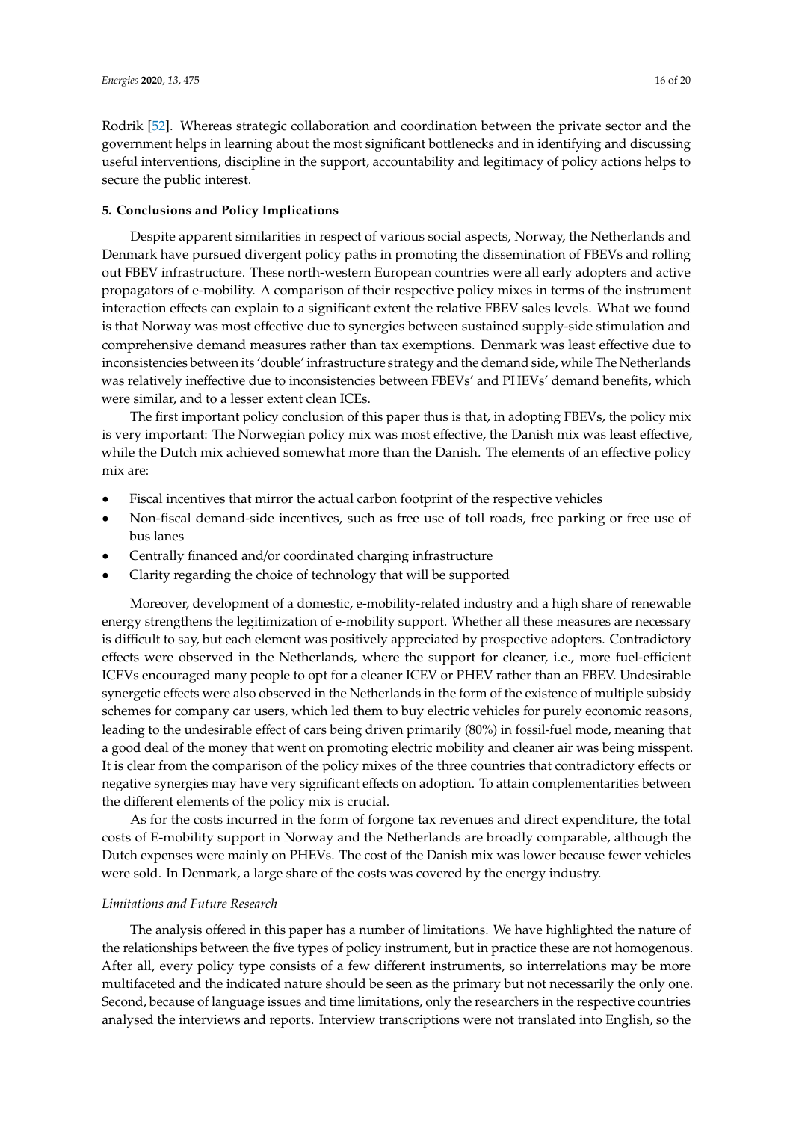Rodrik [\[52\]](#page-19-20). Whereas strategic collaboration and coordination between the private sector and the government helps in learning about the most significant bottlenecks and in identifying and discussing useful interventions, discipline in the support, accountability and legitimacy of policy actions helps to secure the public interest.

#### <span id="page-16-0"></span>**5. Conclusions and Policy Implications**

Despite apparent similarities in respect of various social aspects, Norway, the Netherlands and Denmark have pursued divergent policy paths in promoting the dissemination of FBEVs and rolling out FBEV infrastructure. These north-western European countries were all early adopters and active propagators of e-mobility. A comparison of their respective policy mixes in terms of the instrument interaction effects can explain to a significant extent the relative FBEV sales levels. What we found is that Norway was most effective due to synergies between sustained supply-side stimulation and comprehensive demand measures rather than tax exemptions. Denmark was least effective due to inconsistencies between its 'double' infrastructure strategy and the demand side, while The Netherlands was relatively ineffective due to inconsistencies between FBEVs' and PHEVs' demand benefits, which were similar, and to a lesser extent clean ICEs.

The first important policy conclusion of this paper thus is that, in adopting FBEVs, the policy mix is very important: The Norwegian policy mix was most effective, the Danish mix was least effective, while the Dutch mix achieved somewhat more than the Danish. The elements of an effective policy mix are:

- Fiscal incentives that mirror the actual carbon footprint of the respective vehicles
- Non-fiscal demand-side incentives, such as free use of toll roads, free parking or free use of bus lanes
- Centrally financed and/or coordinated charging infrastructure
- Clarity regarding the choice of technology that will be supported

Moreover, development of a domestic, e-mobility-related industry and a high share of renewable energy strengthens the legitimization of e-mobility support. Whether all these measures are necessary is difficult to say, but each element was positively appreciated by prospective adopters. Contradictory effects were observed in the Netherlands, where the support for cleaner, i.e., more fuel-efficient ICEVs encouraged many people to opt for a cleaner ICEV or PHEV rather than an FBEV. Undesirable synergetic effects were also observed in the Netherlands in the form of the existence of multiple subsidy schemes for company car users, which led them to buy electric vehicles for purely economic reasons, leading to the undesirable effect of cars being driven primarily (80%) in fossil-fuel mode, meaning that a good deal of the money that went on promoting electric mobility and cleaner air was being misspent. It is clear from the comparison of the policy mixes of the three countries that contradictory effects or negative synergies may have very significant effects on adoption. To attain complementarities between the different elements of the policy mix is crucial.

As for the costs incurred in the form of forgone tax revenues and direct expenditure, the total costs of E-mobility support in Norway and the Netherlands are broadly comparable, although the Dutch expenses were mainly on PHEVs. The cost of the Danish mix was lower because fewer vehicles were sold. In Denmark, a large share of the costs was covered by the energy industry.

#### *Limitations and Future Research*

The analysis offered in this paper has a number of limitations. We have highlighted the nature of the relationships between the five types of policy instrument, but in practice these are not homogenous. After all, every policy type consists of a few different instruments, so interrelations may be more multifaceted and the indicated nature should be seen as the primary but not necessarily the only one. Second, because of language issues and time limitations, only the researchers in the respective countries analysed the interviews and reports. Interview transcriptions were not translated into English, so the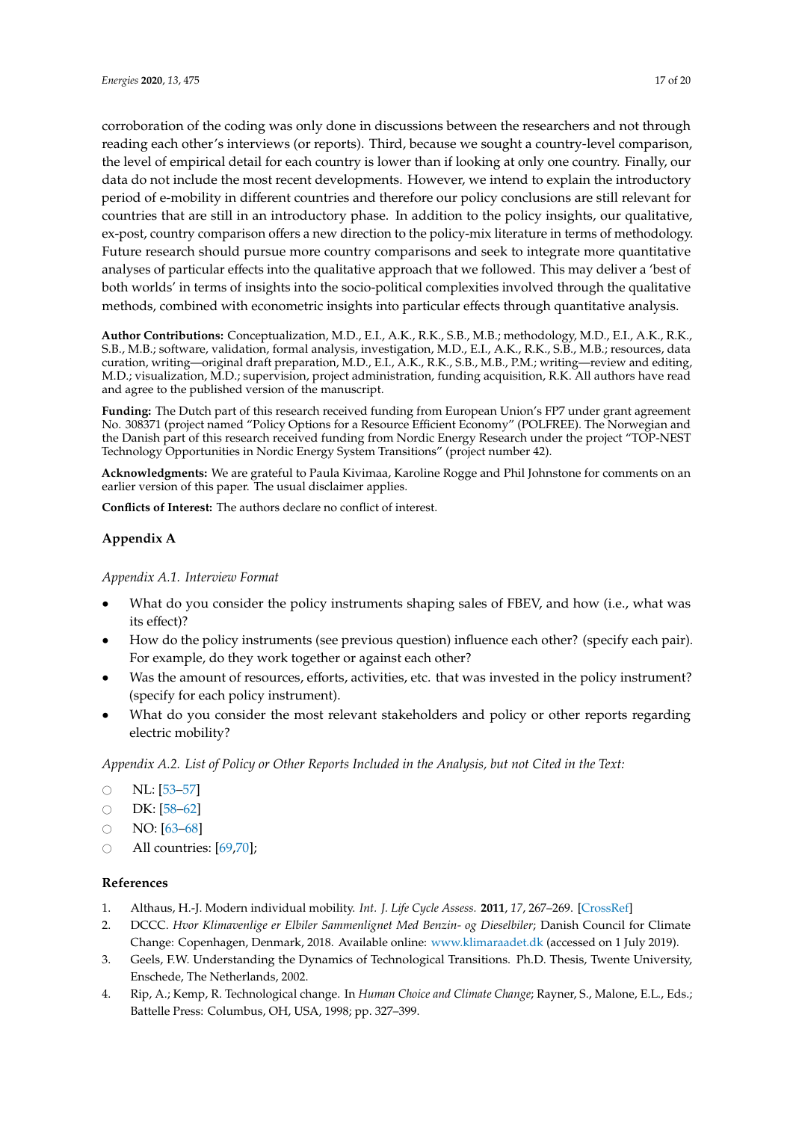corroboration of the coding was only done in discussions between the researchers and not through reading each other's interviews (or reports). Third, because we sought a country-level comparison, the level of empirical detail for each country is lower than if looking at only one country. Finally, our data do not include the most recent developments. However, we intend to explain the introductory period of e-mobility in different countries and therefore our policy conclusions are still relevant for countries that are still in an introductory phase. In addition to the policy insights, our qualitative, ex-post, country comparison offers a new direction to the policy-mix literature in terms of methodology. Future research should pursue more country comparisons and seek to integrate more quantitative analyses of particular effects into the qualitative approach that we followed. This may deliver a 'best of both worlds' in terms of insights into the socio-political complexities involved through the qualitative methods, combined with econometric insights into particular effects through quantitative analysis.

**Author Contributions:** Conceptualization, M.D., E.I., A.K., R.K., S.B., M.B.; methodology, M.D., E.I., A.K., R.K., S.B., M.B.; software, validation, formal analysis, investigation, M.D., E.I., A.K., R.K., S.B., M.B.; resources, data curation, writing—original draft preparation, M.D., E.I., A.K., R.K., S.B., M.B., P.M.; writing—review and editing, M.D.; visualization, M.D.; supervision, project administration, funding acquisition, R.K. All authors have read and agree to the published version of the manuscript.

**Funding:** The Dutch part of this research received funding from European Union's FP7 under grant agreement No. 308371 (project named "Policy Options for a Resource Efficient Economy" (POLFREE). The Norwegian and the Danish part of this research received funding from Nordic Energy Research under the project "TOP-NEST Technology Opportunities in Nordic Energy System Transitions" (project number 42).

**Acknowledgments:** We are grateful to Paula Kivimaa, Karoline Rogge and Phil Johnstone for comments on an earlier version of this paper. The usual disclaimer applies.

**Conflicts of Interest:** The authors declare no conflict of interest.

## <span id="page-17-4"></span>**Appendix A**

*Appendix A.1. Interview Format*

- What do you consider the policy instruments shaping sales of FBEV, and how (i.e., what was its effect)?
- How do the policy instruments (see previous question) influence each other? (specify each pair). For example, do they work together or against each other?
- Was the amount of resources, efforts, activities, etc. that was invested in the policy instrument? (specify for each policy instrument).
- What do you consider the most relevant stakeholders and policy or other reports regarding electric mobility?

*Appendix A.2. List of Policy or Other Reports Included in the Analysis, but not Cited in the Text:*

- $\circ$  NL: [\[53](#page-19-21)[–57\]](#page-20-0)
- 
- $\circ$  DK: [\[58–](#page-20-1)[62\]](#page-20-2) NO: [\[63–](#page-20-3)[68\]](#page-20-4)
- $\circ$  All countries: [\[69,](#page-20-5)[70\]](#page-20-6);

## **References**

- <span id="page-17-0"></span>1. Althaus, H.-J. Modern individual mobility. *Int. J. Life Cycle Assess.* **2011**, *17*, 267–269. [\[CrossRef\]](http://dx.doi.org/10.1007/s11367-011-0365-8)
- <span id="page-17-1"></span>2. DCCC. *Hvor Klimavenlige er Elbiler Sammenlignet Med Benzin- og Dieselbiler*; Danish Council for Climate Change: Copenhagen, Denmark, 2018. Available online: <www.klimaraadet.dk> (accessed on 1 July 2019).
- <span id="page-17-2"></span>3. Geels, F.W. Understanding the Dynamics of Technological Transitions. Ph.D. Thesis, Twente University, Enschede, The Netherlands, 2002.
- <span id="page-17-3"></span>4. Rip, A.; Kemp, R. Technological change. In *Human Choice and Climate Change*; Rayner, S., Malone, E.L., Eds.; Battelle Press: Columbus, OH, USA, 1998; pp. 327–399.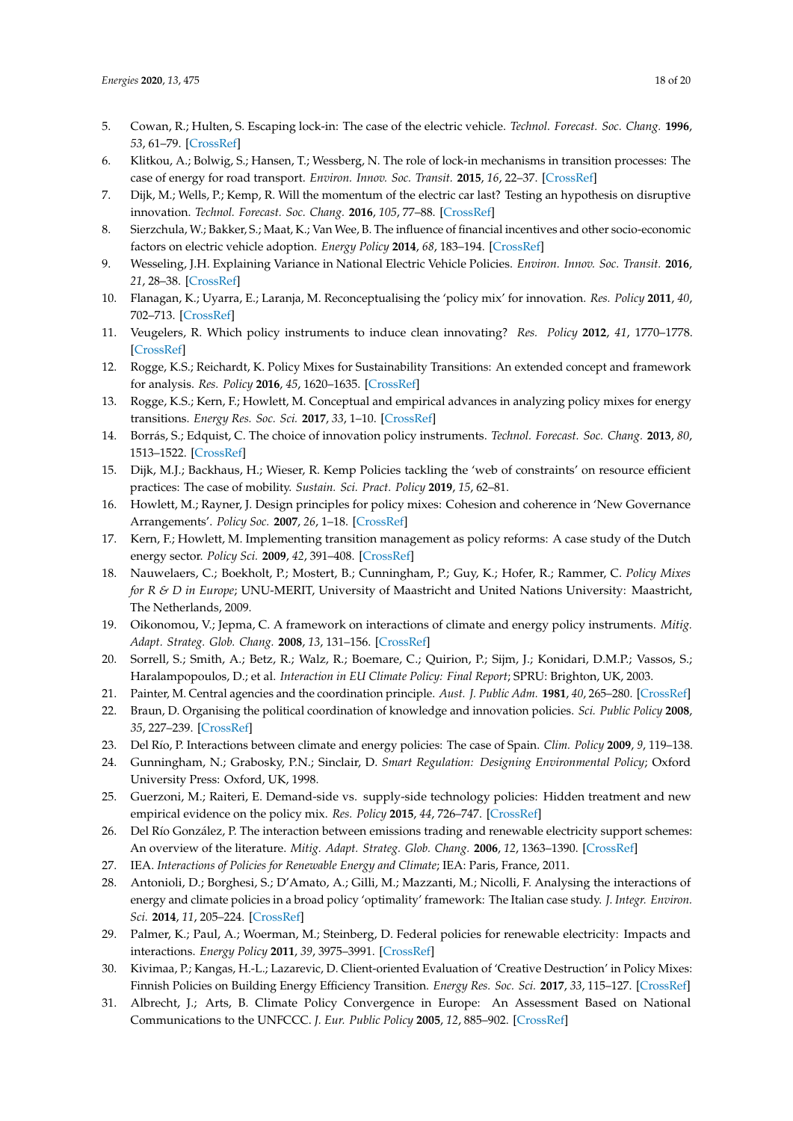- <span id="page-18-0"></span>5. Cowan, R.; Hulten, S. Escaping lock-in: The case of the electric vehicle. *Technol. Forecast. Soc. Chang.* **1996**, *53*, 61–79. [\[CrossRef\]](http://dx.doi.org/10.1016/0040-1625(96)00059-5)
- <span id="page-18-1"></span>6. Klitkou, A.; Bolwig, S.; Hansen, T.; Wessberg, N. The role of lock-in mechanisms in transition processes: The case of energy for road transport. *Environ. Innov. Soc. Transit.* **2015**, *16*, 22–37. [\[CrossRef\]](http://dx.doi.org/10.1016/j.eist.2015.07.005)
- <span id="page-18-2"></span>7. Dijk, M.; Wells, P.; Kemp, R. Will the momentum of the electric car last? Testing an hypothesis on disruptive innovation. *Technol. Forecast. Soc. Chang.* **2016**, *105*, 77–88. [\[CrossRef\]](http://dx.doi.org/10.1016/j.techfore.2016.01.013)
- <span id="page-18-3"></span>8. Sierzchula, W.; Bakker, S.; Maat, K.; Van Wee, B. The influence of financial incentives and other socio-economic factors on electric vehicle adoption. *Energy Policy* **2014**, *68*, 183–194. [\[CrossRef\]](http://dx.doi.org/10.1016/j.enpol.2014.01.043)
- <span id="page-18-4"></span>9. Wesseling, J.H. Explaining Variance in National Electric Vehicle Policies. *Environ. Innov. Soc. Transit.* **2016**, *21*, 28–38. [\[CrossRef\]](http://dx.doi.org/10.1016/j.eist.2016.03.001)
- <span id="page-18-5"></span>10. Flanagan, K.; Uyarra, E.; Laranja, M. Reconceptualising the 'policy mix' for innovation. *Res. Policy* **2011**, *40*, 702–713. [\[CrossRef\]](http://dx.doi.org/10.1016/j.respol.2011.02.005)
- 11. Veugelers, R. Which policy instruments to induce clean innovating? *Res. Policy* **2012**, *41*, 1770–1778. [\[CrossRef\]](http://dx.doi.org/10.1016/j.respol.2012.06.012)
- <span id="page-18-7"></span>12. Rogge, K.S.; Reichardt, K. Policy Mixes for Sustainability Transitions: An extended concept and framework for analysis. *Res. Policy* **2016**, *45*, 1620–1635. [\[CrossRef\]](http://dx.doi.org/10.1016/j.respol.2016.04.004)
- <span id="page-18-6"></span>13. Rogge, K.S.; Kern, F.; Howlett, M. Conceptual and empirical advances in analyzing policy mixes for energy transitions. *Energy Res. Soc. Sci.* **2017**, *33*, 1–10. [\[CrossRef\]](http://dx.doi.org/10.1016/j.erss.2017.09.025)
- <span id="page-18-8"></span>14. Borrás, S.; Edquist, C. The choice of innovation policy instruments. *Technol. Forecast. Soc. Chang.* **2013**, *80*, 1513–1522. [\[CrossRef\]](http://dx.doi.org/10.1016/j.techfore.2013.03.002)
- <span id="page-18-9"></span>15. Dijk, M.J.; Backhaus, H.; Wieser, R. Kemp Policies tackling the 'web of constraints' on resource efficient practices: The case of mobility. *Sustain. Sci. Pract. Policy* **2019**, *15*, 62–81.
- <span id="page-18-10"></span>16. Howlett, M.; Rayner, J. Design principles for policy mixes: Cohesion and coherence in 'New Governance Arrangements'. *Policy Soc.* **2007**, *26*, 1–18. [\[CrossRef\]](http://dx.doi.org/10.1016/S1449-4035(07)70118-2)
- <span id="page-18-11"></span>17. Kern, F.; Howlett, M. Implementing transition management as policy reforms: A case study of the Dutch energy sector. *Policy Sci.* **2009**, *42*, 391–408. [\[CrossRef\]](http://dx.doi.org/10.1007/s11077-009-9099-x)
- <span id="page-18-12"></span>18. Nauwelaers, C.; Boekholt, P.; Mostert, B.; Cunningham, P.; Guy, K.; Hofer, R.; Rammer, C. *Policy Mixes for R & D in Europe*; UNU-MERIT, University of Maastricht and United Nations University: Maastricht, The Netherlands, 2009.
- <span id="page-18-13"></span>19. Oikonomou, V.; Jepma, C. A framework on interactions of climate and energy policy instruments. *Mitig. Adapt. Strateg. Glob. Chang.* **2008**, *13*, 131–156. [\[CrossRef\]](http://dx.doi.org/10.1007/s11027-007-9082-9)
- <span id="page-18-14"></span>20. Sorrell, S.; Smith, A.; Betz, R.; Walz, R.; Boemare, C.; Quirion, P.; Sijm, J.; Konidari, D.M.P.; Vassos, S.; Haralampopoulos, D.; et al. *Interaction in EU Climate Policy: Final Report*; SPRU: Brighton, UK, 2003.
- <span id="page-18-15"></span>21. Painter, M. Central agencies and the coordination principle. *Aust. J. Public Adm.* **1981**, *40*, 265–280. [\[CrossRef\]](http://dx.doi.org/10.1111/j.1467-8500.1981.tb00519.x)
- <span id="page-18-16"></span>22. Braun, D. Organising the political coordination of knowledge and innovation policies. *Sci. Public Policy* **2008**, *35*, 227–239. [\[CrossRef\]](http://dx.doi.org/10.3152/030234208X287056)
- <span id="page-18-17"></span>23. Del Río, P. Interactions between climate and energy policies: The case of Spain. *Clim. Policy* **2009**, *9*, 119–138.
- <span id="page-18-18"></span>24. Gunningham, N.; Grabosky, P.N.; Sinclair, D. *Smart Regulation: Designing Environmental Policy*; Oxford University Press: Oxford, UK, 1998.
- <span id="page-18-19"></span>25. Guerzoni, M.; Raiteri, E. Demand-side vs. supply-side technology policies: Hidden treatment and new empirical evidence on the policy mix. *Res. Policy* **2015**, *44*, 726–747. [\[CrossRef\]](http://dx.doi.org/10.1016/j.respol.2014.10.009)
- <span id="page-18-20"></span>26. Del Río González, P. The interaction between emissions trading and renewable electricity support schemes: An overview of the literature. *Mitig. Adapt. Strateg. Glob. Chang.* **2006**, *12*, 1363–1390. [\[CrossRef\]](http://dx.doi.org/10.1007/s11027-006-9069-y)
- 27. IEA. *Interactions of Policies for Renewable Energy and Climate*; IEA: Paris, France, 2011.
- 28. Antonioli, D.; Borghesi, S.; D'Amato, A.; Gilli, M.; Mazzanti, M.; Nicolli, F. Analysing the interactions of energy and climate policies in a broad policy 'optimality' framework: The Italian case study. *J. Integr. Environ. Sci.* **2014**, *11*, 205–224. [\[CrossRef\]](http://dx.doi.org/10.1080/1943815X.2014.962549)
- <span id="page-18-21"></span>29. Palmer, K.; Paul, A.; Woerman, M.; Steinberg, D. Federal policies for renewable electricity: Impacts and interactions. *Energy Policy* **2011**, *39*, 3975–3991. [\[CrossRef\]](http://dx.doi.org/10.1016/j.enpol.2011.01.035)
- <span id="page-18-22"></span>30. Kivimaa, P.; Kangas, H.-L.; Lazarevic, D. Client-oriented Evaluation of 'Creative Destruction' in Policy Mixes: Finnish Policies on Building Energy Efficiency Transition. *Energy Res. Soc. Sci.* **2017**, *33*, 115–127. [\[CrossRef\]](http://dx.doi.org/10.1016/j.erss.2017.09.002)
- <span id="page-18-23"></span>31. Albrecht, J.; Arts, B. Climate Policy Convergence in Europe: An Assessment Based on National Communications to the UNFCCC. *J. Eur. Public Policy* **2005**, *12*, 885–902. [\[CrossRef\]](http://dx.doi.org/10.1080/13501760500161571)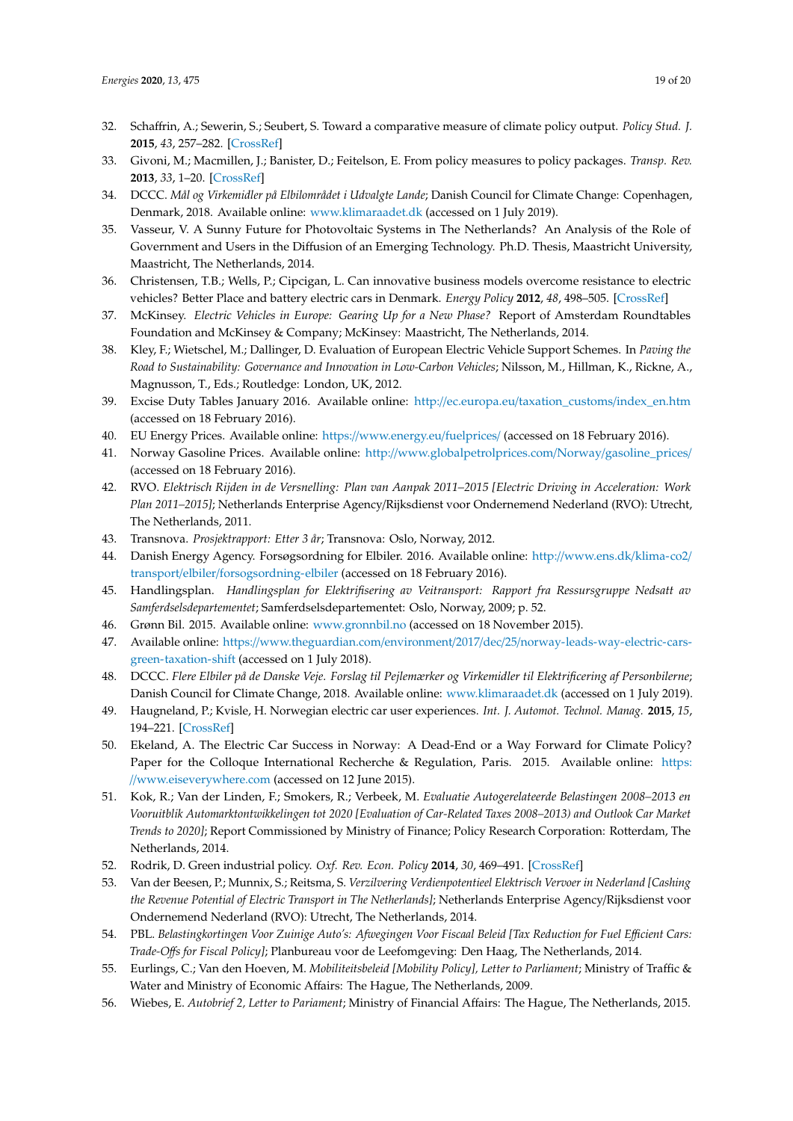- <span id="page-19-4"></span><span id="page-19-3"></span><span id="page-19-0"></span>32. Schaffrin, A.; Sewerin, S.; Seubert, S. Toward a comparative measure of climate policy output. *Policy Stud. J.* **2015**, *43*, 257–282. [\[CrossRef\]](http://dx.doi.org/10.1111/psj.12095)
- <span id="page-19-1"></span>33. Givoni, M.; Macmillen, J.; Banister, D.; Feitelson, E. From policy measures to policy packages. *Transp. Rev.* **2013**, *33*, 1–20. [\[CrossRef\]](http://dx.doi.org/10.1080/01441647.2012.744779)
- <span id="page-19-2"></span>34. DCCC. *Mål og Virkemidler på Elbilområdet i Udvalgte Lande*; Danish Council for Climate Change: Copenhagen, Denmark, 2018. Available online: <www.klimaraadet.dk> (accessed on 1 July 2019).
- 35. Vasseur, V. A Sunny Future for Photovoltaic Systems in The Netherlands? An Analysis of the Role of Government and Users in the Diffusion of an Emerging Technology. Ph.D. Thesis, Maastricht University, Maastricht, The Netherlands, 2014.
- 36. Christensen, T.B.; Wells, P.; Cipcigan, L. Can innovative business models overcome resistance to electric vehicles? Better Place and battery electric cars in Denmark. *Energy Policy* **2012**, *48*, 498–505. [\[CrossRef\]](http://dx.doi.org/10.1016/j.enpol.2012.05.054)
- <span id="page-19-5"></span>37. McKinsey. *Electric Vehicles in Europe: Gearing Up for a New Phase?* Report of Amsterdam Roundtables Foundation and McKinsey & Company; McKinsey: Maastricht, The Netherlands, 2014.
- <span id="page-19-6"></span>38. Kley, F.; Wietschel, M.; Dallinger, D. Evaluation of European Electric Vehicle Support Schemes. In *Paving the Road to Sustainability: Governance and Innovation in Low-Carbon Vehicles*; Nilsson, M., Hillman, K., Rickne, A., Magnusson, T., Eds.; Routledge: London, UK, 2012.
- <span id="page-19-7"></span>39. Excise Duty Tables January 2016. Available online: http://ec.europa.eu/[taxation\\_customs](http://ec.europa.eu/taxation_customs/index_en.htm)/index\_en.htm (accessed on 18 February 2016).
- <span id="page-19-8"></span>40. EU Energy Prices. Available online: https://[www.energy.eu](https://www.energy.eu/fuelprices/)/fuelprices/ (accessed on 18 February 2016).
- <span id="page-19-9"></span>41. Norway Gasoline Prices. Available online: http://[www.globalpetrolprices.com](http://www.globalpetrolprices.com/Norway/gasoline_prices/)/Norway/gasoline\_prices/ (accessed on 18 February 2016).
- <span id="page-19-10"></span>42. RVO. *Elektrisch Rijden in de Versnelling: Plan van Aanpak 2011–2015 [Electric Driving in Acceleration: Work Plan 2011–2015]*; Netherlands Enterprise Agency/Rijksdienst voor Ondernemend Nederland (RVO): Utrecht, The Netherlands, 2011.
- <span id="page-19-11"></span>43. Transnova. *Prosjektrapport: Etter 3 år*; Transnova: Oslo, Norway, 2012.
- <span id="page-19-12"></span>44. Danish Energy Agency. Forsøgsordning for Elbiler. 2016. Available online: http://[www.ens.dk](http://www.ens.dk/klima-co2/transport/elbiler/forsogsordning-elbiler)/klima-co2/ transport/elbiler/[forsogsordning-elbiler](http://www.ens.dk/klima-co2/transport/elbiler/forsogsordning-elbiler) (accessed on 18 February 2016).
- <span id="page-19-13"></span>45. Handlingsplan. *Handlingsplan for Elektrifisering av Veitransport: Rapport fra Ressursgruppe Nedsatt av Samferdselsdepartementet*; Samferdselsdepartementet: Oslo, Norway, 2009; p. 52.
- <span id="page-19-14"></span>46. Grønn Bil. 2015. Available online: <www.gronnbil.no> (accessed on 18 November 2015).
- <span id="page-19-15"></span>47. Available online: https://www.theguardian.com/environment/2017/dec/25/[norway-leads-way-electric-cars](https://www.theguardian.com/environment/2017/dec/25/norway-leads-way-electric-cars-green-taxation-shift)[green-taxation-shift](https://www.theguardian.com/environment/2017/dec/25/norway-leads-way-electric-cars-green-taxation-shift) (accessed on 1 July 2018).
- <span id="page-19-16"></span>48. DCCC. *Flere Elbiler på de Danske Veje. Forslag til Pejlemærker og Virkemidler til Elektrificering af Personbilerne*; Danish Council for Climate Change, 2018. Available online: <www.klimaraadet.dk> (accessed on 1 July 2019).
- <span id="page-19-17"></span>49. Haugneland, P.; Kvisle, H. Norwegian electric car user experiences. *Int. J. Automot. Technol. Manag.* **2015**, *15*, 194–221. [\[CrossRef\]](http://dx.doi.org/10.1504/IJATM.2015.068548)
- <span id="page-19-18"></span>50. Ekeland, A. The Electric Car Success in Norway: A Dead-End or a Way Forward for Climate Policy? Paper for the Colloque International Recherche & Regulation, Paris. 2015. Available online: [https:](https://www.eiseverywhere.com) //[www.eiseverywhere.com](https://www.eiseverywhere.com) (accessed on 12 June 2015).
- <span id="page-19-19"></span>51. Kok, R.; Van der Linden, F.; Smokers, R.; Verbeek, M. *Evaluatie Autogerelateerde Belastingen 2008–2013 en Vooruitblik Automarktontwikkelingen tot 2020 [Evaluation of Car-Related Taxes 2008–2013) and Outlook Car Market Trends to 2020]*; Report Commissioned by Ministry of Finance; Policy Research Corporation: Rotterdam, The Netherlands, 2014.
- <span id="page-19-20"></span>52. Rodrik, D. Green industrial policy. *Oxf. Rev. Econ. Policy* **2014**, *30*, 469–491. [\[CrossRef\]](http://dx.doi.org/10.1093/oxrep/gru025)
- <span id="page-19-21"></span>53. Van der Beesen, P.; Munnix, S.; Reitsma, S. *Verzilvering Verdienpotentieel Elektrisch Vervoer in Nederland [Cashing the Revenue Potential of Electric Transport in The Netherlands]*; Netherlands Enterprise Agency/Rijksdienst voor Ondernemend Nederland (RVO): Utrecht, The Netherlands, 2014.
- 54. PBL. *Belastingkortingen Voor Zuinige Auto's: Afwegingen Voor Fiscaal Beleid [Tax Reduction for Fuel E*ffi*cient Cars: Trade-O*ff*s for Fiscal Policy]*; Planbureau voor de Leefomgeving: Den Haag, The Netherlands, 2014.
- 55. Eurlings, C.; Van den Hoeven, M. *Mobiliteitsbeleid [Mobility Policy], Letter to Parliament*; Ministry of Traffic & Water and Ministry of Economic Affairs: The Hague, The Netherlands, 2009.
- 56. Wiebes, E. *Autobrief 2, Letter to Pariament*; Ministry of Financial Affairs: The Hague, The Netherlands, 2015.